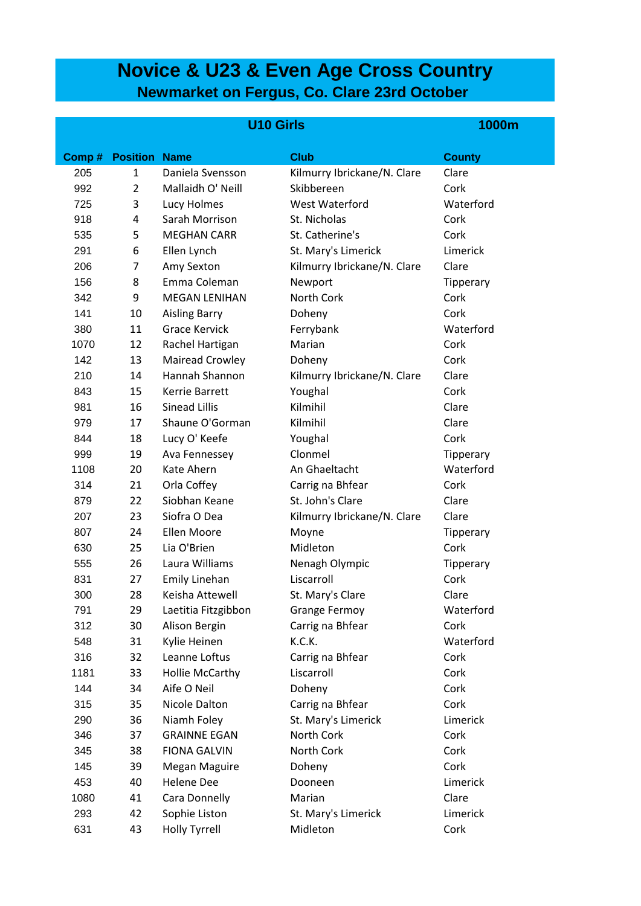# **Novice & U23 & Even Age Cross Country Newmarket on Fergus, Co. Clare 23rd October**

|       |                      | <b>U10 Girls</b>       | <b>1000m</b>                |               |
|-------|----------------------|------------------------|-----------------------------|---------------|
| Comp# | <b>Position Name</b> |                        | <b>Club</b>                 | <b>County</b> |
| 205   | $\mathbf{1}$         | Daniela Svensson       | Kilmurry Ibrickane/N. Clare | Clare         |
| 992   | $\overline{2}$       | Mallaidh O' Neill      | Skibbereen                  | Cork          |
| 725   | 3                    | Lucy Holmes            | West Waterford              | Waterford     |
| 918   | 4                    | Sarah Morrison         | St. Nicholas                | Cork          |
| 535   | 5                    | <b>MEGHAN CARR</b>     | St. Catherine's             | Cork          |
| 291   | 6                    | Ellen Lynch            | St. Mary's Limerick         | Limerick      |
| 206   | 7                    | Amy Sexton             | Kilmurry Ibrickane/N. Clare | Clare         |
| 156   | 8                    | Emma Coleman           | Newport                     | Tipperary     |
| 342   | 9                    | <b>MEGAN LENIHAN</b>   | North Cork                  | Cork          |
| 141   | 10                   | <b>Aisling Barry</b>   | Doheny                      | Cork          |
| 380   | 11                   | <b>Grace Kervick</b>   | Ferrybank                   | Waterford     |
| 1070  | 12                   | Rachel Hartigan        | Marian                      | Cork          |
| 142   | 13                   | Mairead Crowley        | Doheny                      | Cork          |
| 210   | 14                   | Hannah Shannon         | Kilmurry Ibrickane/N. Clare | Clare         |
| 843   | 15                   | <b>Kerrie Barrett</b>  | Youghal                     | Cork          |
| 981   | 16                   | <b>Sinead Lillis</b>   | Kilmihil                    | Clare         |
| 979   | 17                   | Shaune O'Gorman        | Kilmihil                    | Clare         |
| 844   | 18                   | Lucy O' Keefe          | Youghal                     | Cork          |
| 999   | 19                   | Ava Fennessey          | Clonmel                     | Tipperary     |
| 1108  | 20                   | Kate Ahern             | An Ghaeltacht               | Waterford     |
| 314   | 21                   | Orla Coffey            | Carrig na Bhfear            | Cork          |
| 879   | 22                   | Siobhan Keane          | St. John's Clare            | Clare         |
| 207   | 23                   | Siofra O Dea           | Kilmurry Ibrickane/N. Clare | Clare         |
| 807   | 24                   | <b>Ellen Moore</b>     | Moyne                       | Tipperary     |
| 630   | 25                   | Lia O'Brien            | Midleton                    | Cork          |
| 555   | 26                   | Laura Williams         | Nenagh Olympic              | Tipperary     |
| 831   | 27                   | Emily Linehan          | Liscarroll                  | Cork          |
| 300   | 28                   | Keisha Attewell        | St. Mary's Clare            | Clare         |
| 791   | 29                   | Laetitia Fitzgibbon    | <b>Grange Fermoy</b>        | Waterford     |
| 312   | 30                   | Alison Bergin          | Carrig na Bhfear            | Cork          |
| 548   | 31                   | Kylie Heinen           | K.C.K.                      | Waterford     |
| 316   | 32                   | Leanne Loftus          | Carrig na Bhfear            | Cork          |
| 1181  | 33                   | <b>Hollie McCarthy</b> | Liscarroll                  | Cork          |
| 144   | 34                   | Aife O Neil            | Doheny                      | Cork          |
| 315   | 35                   | Nicole Dalton          | Carrig na Bhfear            | Cork          |
| 290   | 36                   | Niamh Foley            | St. Mary's Limerick         | Limerick      |
| 346   | 37                   | <b>GRAINNE EGAN</b>    | North Cork                  | Cork          |
| 345   | 38                   | <b>FIONA GALVIN</b>    | North Cork                  | Cork          |
| 145   | 39                   | Megan Maguire          | Doheny                      | Cork          |
| 453   | 40                   | <b>Helene Dee</b>      | Dooneen                     | Limerick      |
| 1080  | 41                   | Cara Donnelly          | Marian                      | Clare         |
| 293   | 42                   | Sophie Liston          | St. Mary's Limerick         | Limerick      |
| 631   | 43                   | <b>Holly Tyrrell</b>   | Midleton                    | Cork          |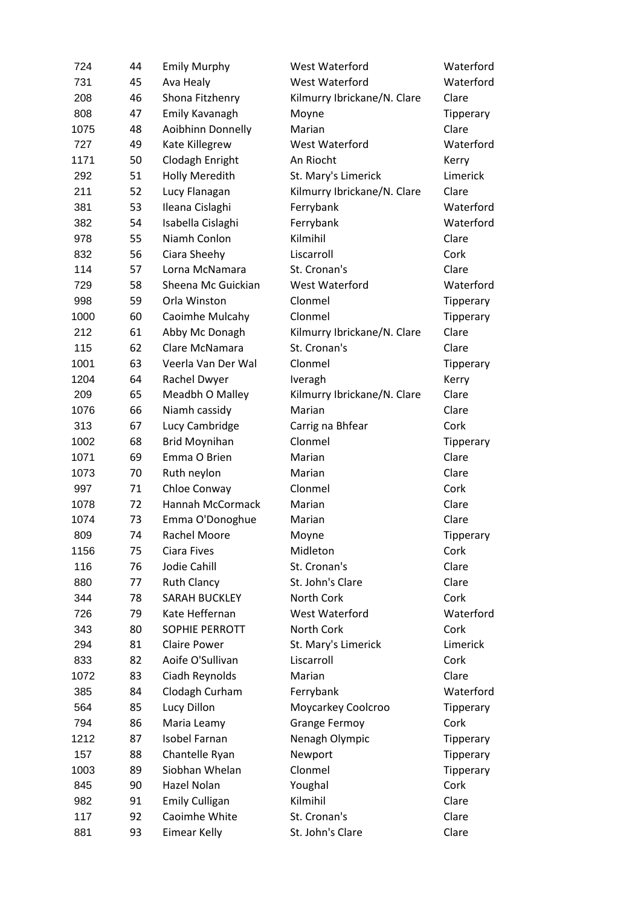| 724  | 44 | <b>Emily Murphy</b>   | West Waterford              | Waterford |
|------|----|-----------------------|-----------------------------|-----------|
| 731  | 45 | Ava Healy             | West Waterford              | Waterford |
| 208  | 46 | Shona Fitzhenry       | Kilmurry Ibrickane/N. Clare | Clare     |
| 808  | 47 | Emily Kavanagh        | Moyne                       | Tipperary |
| 1075 | 48 | Aoibhinn Donnelly     | Marian                      | Clare     |
| 727  | 49 | Kate Killegrew        | West Waterford              | Waterford |
| 1171 | 50 | Clodagh Enright       | An Riocht                   | Kerry     |
| 292  | 51 | <b>Holly Meredith</b> | St. Mary's Limerick         | Limerick  |
| 211  | 52 | Lucy Flanagan         | Kilmurry Ibrickane/N. Clare | Clare     |
| 381  | 53 | Ileana Cislaghi       | Ferrybank                   | Waterford |
| 382  | 54 | Isabella Cislaghi     | Ferrybank                   | Waterford |
| 978  | 55 | Niamh Conlon          | Kilmihil                    | Clare     |
| 832  | 56 | Ciara Sheehy          | Liscarroll                  | Cork      |
| 114  | 57 | Lorna McNamara        | St. Cronan's                | Clare     |
| 729  | 58 | Sheena Mc Guickian    | West Waterford              | Waterford |
| 998  | 59 | Orla Winston          | Clonmel                     | Tipperary |
| 1000 | 60 | Caoimhe Mulcahy       | Clonmel                     | Tipperary |
| 212  | 61 | Abby Mc Donagh        | Kilmurry Ibrickane/N. Clare | Clare     |
| 115  | 62 | Clare McNamara        | St. Cronan's                | Clare     |
| 1001 | 63 | Veerla Van Der Wal    | Clonmel                     | Tipperary |
| 1204 | 64 | Rachel Dwyer          | Iveragh                     | Kerry     |
| 209  | 65 | Meadbh O Malley       | Kilmurry Ibrickane/N. Clare | Clare     |
| 1076 | 66 | Niamh cassidy         | Marian                      | Clare     |
| 313  | 67 | Lucy Cambridge        | Carrig na Bhfear            | Cork      |
| 1002 | 68 | <b>Brid Moynihan</b>  | Clonmel                     | Tipperary |
| 1071 | 69 | Emma O Brien          | Marian                      | Clare     |
| 1073 | 70 | Ruth neylon           | Marian                      | Clare     |
| 997  | 71 | Chloe Conway          | Clonmel                     | Cork      |
| 1078 | 72 | Hannah McCormack      | Marian                      | Clare     |
| 1074 | 73 | Emma O'Donoghue       | Marian                      | Clare     |
| 809  | 74 | <b>Rachel Moore</b>   | Moyne                       | Tipperary |
| 1156 | 75 | Ciara Fives           | Midleton                    | Cork      |
| 116  | 76 | Jodie Cahill          | St. Cronan's                | Clare     |
| 880  | 77 | <b>Ruth Clancy</b>    | St. John's Clare            | Clare     |
| 344  | 78 | <b>SARAH BUCKLEY</b>  | North Cork                  | Cork      |
| 726  | 79 | Kate Heffernan        | West Waterford              | Waterford |
| 343  | 80 | <b>SOPHIE PERROTT</b> | North Cork                  | Cork      |
| 294  | 81 | <b>Claire Power</b>   | St. Mary's Limerick         | Limerick  |
| 833  | 82 | Aoife O'Sullivan      | Liscarroll                  | Cork      |
| 1072 | 83 | Ciadh Reynolds        | Marian                      | Clare     |
| 385  | 84 | Clodagh Curham        | Ferrybank                   | Waterford |
| 564  | 85 | Lucy Dillon           | Moycarkey Coolcroo          | Tipperary |
| 794  | 86 | Maria Leamy           | <b>Grange Fermoy</b>        | Cork      |
| 1212 | 87 | <b>Isobel Farnan</b>  | Nenagh Olympic              | Tipperary |
| 157  | 88 | Chantelle Ryan        | Newport                     | Tipperary |
| 1003 | 89 | Siobhan Whelan        | Clonmel                     | Tipperary |
| 845  | 90 | Hazel Nolan           | Youghal                     | Cork      |
| 982  | 91 | <b>Emily Culligan</b> | Kilmihil                    | Clare     |
| 117  | 92 | Caoimhe White         | St. Cronan's                | Clare     |
| 881  | 93 | Eimear Kelly          | St. John's Clare            | Clare     |
|      |    |                       |                             |           |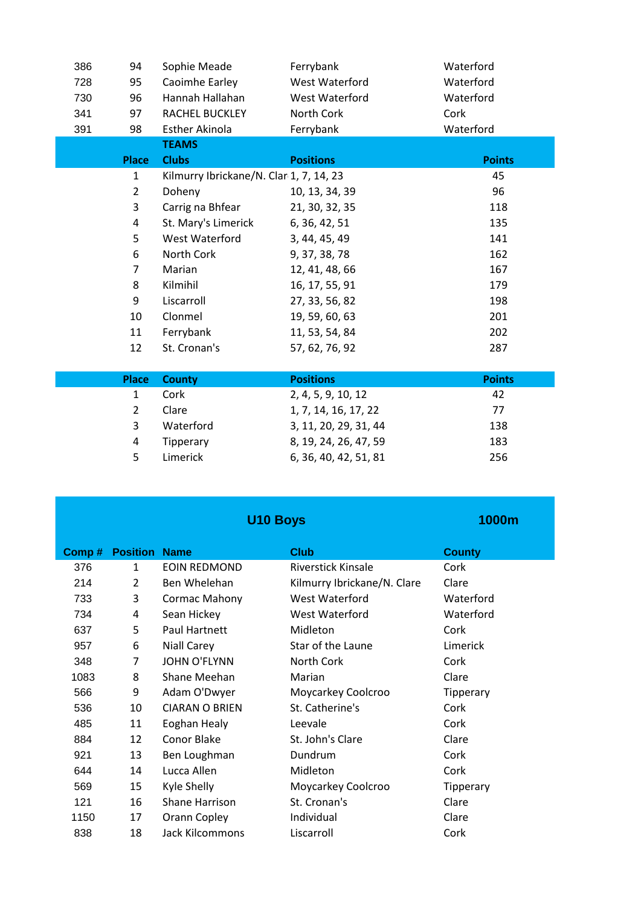| 386 | 94             | Sophie Meade                            | Ferrybank             | Waterford     |
|-----|----------------|-----------------------------------------|-----------------------|---------------|
| 728 | 95             | Caoimhe Earley                          | West Waterford        | Waterford     |
| 730 | 96             | Hannah Hallahan                         | West Waterford        | Waterford     |
| 341 | 97             | RACHEL BUCKLEY                          | North Cork            | Cork          |
| 391 | 98             | Esther Akinola                          | Ferrybank             | Waterford     |
|     |                | <b>TEAMS</b>                            |                       |               |
|     | <b>Place</b>   | <b>Clubs</b>                            | <b>Positions</b>      | <b>Points</b> |
|     | $\mathbf{1}$   | Kilmurry Ibrickane/N. Clar 1, 7, 14, 23 |                       | 45            |
|     | $\overline{2}$ | Doheny                                  | 10, 13, 34, 39        | 96            |
|     | 3              | Carrig na Bhfear                        | 21, 30, 32, 35        | 118           |
|     | 4              | St. Mary's Limerick                     | 6, 36, 42, 51         | 135           |
|     | 5              | West Waterford                          | 3, 44, 45, 49         | 141           |
|     | 6              | North Cork                              | 9, 37, 38, 78         | 162           |
|     | $\overline{7}$ | Marian                                  | 12, 41, 48, 66        | 167           |
|     | 8              | Kilmihil                                | 16, 17, 55, 91        | 179           |
|     | 9              | Liscarroll                              | 27, 33, 56, 82        | 198           |
|     | 10             | Clonmel                                 | 19, 59, 60, 63        | 201           |
|     | 11             | Ferrybank                               | 11, 53, 54, 84        | 202           |
|     | 12             | St. Cronan's                            | 57, 62, 76, 92        | 287           |
|     |                |                                         |                       |               |
|     | <b>Place</b>   | <b>County</b>                           | <b>Positions</b>      | <b>Points</b> |
|     | $\mathbf{1}$   | Cork                                    | 2, 4, 5, 9, 10, 12    | 42            |
|     | $\overline{2}$ | Clare                                   | 1, 7, 14, 16, 17, 22  | 77            |
|     | 3              | Waterford                               | 3, 11, 20, 29, 31, 44 | 138           |

4 Tipperary 8, 19, 24, 26, 47, 59 183<br>5 Limerick 6, 36, 40, 42, 51, 81 256

Limerick 6, 36, 40, 42, 51, 81

|       |                 | <b>U10 Boys</b>        |                             | 1000m         |
|-------|-----------------|------------------------|-----------------------------|---------------|
| Comp# | <b>Position</b> | <b>Name</b>            | <b>Club</b>                 | <b>County</b> |
| 376   | 1               | <b>EOIN REDMOND</b>    | <b>Riverstick Kinsale</b>   | Cork          |
| 214   | 2               | Ben Whelehan           | Kilmurry Ibrickane/N. Clare | Clare         |
| 733   | 3               | Cormac Mahony          | West Waterford              | Waterford     |
| 734   | 4               | Sean Hickey            | West Waterford              | Waterford     |
| 637   | 5               | Paul Hartnett          | Midleton                    | Cork          |
| 957   | 6               | Niall Carey            | Star of the Laune           | Limerick      |
| 348   | $\overline{7}$  | <b>JOHN O'FLYNN</b>    | North Cork                  | Cork          |
| 1083  | 8               | Shane Meehan           | Marian                      | Clare         |
| 566   | 9               | Adam O'Dwyer           | Moycarkey Coolcroo          | Tipperary     |
| 536   | 10              | <b>CIARAN O BRIEN</b>  | St. Catherine's             | Cork          |
| 485   | 11              | Eoghan Healy           | Leevale                     | Cork          |
| 884   | 12              | Conor Blake            | St. John's Clare            | Clare         |
| 921   | 13              | Ben Loughman           | Dundrum                     | Cork          |
| 644   | 14              | Lucca Allen            | Midleton                    | Cork          |
| 569   | 15              | Kyle Shelly            | Moycarkey Coolcroo          | Tipperary     |
| 121   | 16              | <b>Shane Harrison</b>  | St. Cronan's                | Clare         |
| 1150  | 17              | Orann Copley           | Individual                  | Clare         |
| 838   | 18              | <b>Jack Kilcommons</b> | Liscarroll                  | Cork          |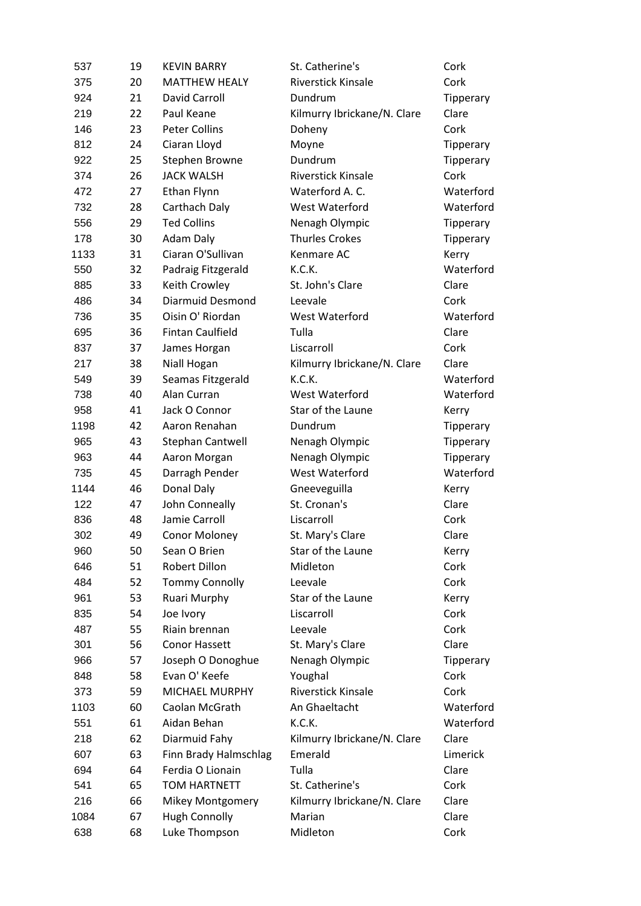| 537  | 19 | <b>KEVIN BARRY</b>      | St. Catherine's             | Cork             |
|------|----|-------------------------|-----------------------------|------------------|
| 375  | 20 | <b>MATTHEW HEALY</b>    | <b>Riverstick Kinsale</b>   | Cork             |
| 924  | 21 | David Carroll           | Dundrum                     | Tipperary        |
| 219  | 22 | Paul Keane              | Kilmurry Ibrickane/N. Clare | Clare            |
| 146  | 23 | <b>Peter Collins</b>    | Doheny                      | Cork             |
| 812  | 24 | Ciaran Lloyd            | Moyne                       | Tipperary        |
| 922  | 25 | Stephen Browne          | Dundrum                     | Tipperary        |
| 374  | 26 | <b>JACK WALSH</b>       | <b>Riverstick Kinsale</b>   | Cork             |
| 472  | 27 | Ethan Flynn             | Waterford A. C.             | Waterford        |
| 732  | 28 | Carthach Daly           | West Waterford              | Waterford        |
| 556  | 29 | <b>Ted Collins</b>      | Nenagh Olympic              | Tipperary        |
| 178  | 30 | Adam Daly               | <b>Thurles Crokes</b>       | Tipperary        |
| 1133 | 31 | Ciaran O'Sullivan       | Kenmare AC                  | Kerry            |
| 550  | 32 | Padraig Fitzgerald      | K.C.K.                      | Waterford        |
| 885  | 33 | Keith Crowley           | St. John's Clare            | Clare            |
| 486  | 34 | <b>Diarmuid Desmond</b> | Leevale                     | Cork             |
| 736  | 35 | Oisin O' Riordan        | West Waterford              | Waterford        |
| 695  | 36 | <b>Fintan Caulfield</b> | Tulla                       | Clare            |
| 837  | 37 | James Horgan            | Liscarroll                  | Cork             |
| 217  | 38 | Niall Hogan             | Kilmurry Ibrickane/N. Clare | Clare            |
| 549  | 39 | Seamas Fitzgerald       | K.C.K.                      | Waterford        |
| 738  | 40 | Alan Curran             | West Waterford              | Waterford        |
| 958  | 41 | Jack O Connor           | Star of the Laune           | Kerry            |
| 1198 | 42 | Aaron Renahan           | Dundrum                     | <b>Tipperary</b> |
| 965  | 43 | Stephan Cantwell        | Nenagh Olympic              | <b>Tipperary</b> |
| 963  | 44 | Aaron Morgan            | Nenagh Olympic              | Tipperary        |
| 735  | 45 | Darragh Pender          | West Waterford              | Waterford        |
| 1144 | 46 | Donal Daly              | Gneeveguilla                | Kerry            |
| 122  | 47 | John Conneally          | St. Cronan's                | Clare            |
| 836  | 48 | Jamie Carroll           | Liscarroll                  | Cork             |
| 302  | 49 | <b>Conor Moloney</b>    | St. Mary's Clare            | Clare            |
| 960  | 50 | Sean O Brien            | Star of the Laune           | Kerry            |
| 646  | 51 | Robert Dillon           | Midleton                    | Cork             |
| 484  | 52 | <b>Tommy Connolly</b>   | Leevale                     | Cork             |
| 961  | 53 | Ruari Murphy            | Star of the Laune           | Kerry            |
| 835  | 54 | Joe Ivory               | Liscarroll                  | Cork             |
| 487  | 55 | Riain brennan           | Leevale                     | Cork             |
| 301  | 56 | Conor Hassett           | St. Mary's Clare            | Clare            |
| 966  | 57 | Joseph O Donoghue       | Nenagh Olympic              | Tipperary        |
| 848  | 58 | Evan O' Keefe           | Youghal                     | Cork             |
| 373  | 59 | MICHAEL MURPHY          | <b>Riverstick Kinsale</b>   | Cork             |
| 1103 | 60 | Caolan McGrath          | An Ghaeltacht               | Waterford        |
| 551  | 61 | Aidan Behan             | K.C.K.                      | Waterford        |
| 218  | 62 | Diarmuid Fahy           | Kilmurry Ibrickane/N. Clare | Clare            |
| 607  | 63 | Finn Brady Halmschlag   | Emerald                     | Limerick         |
| 694  | 64 | Ferdia O Lionain        | Tulla                       | Clare            |
| 541  | 65 | <b>TOM HARTNETT</b>     | St. Catherine's             | Cork             |
| 216  | 66 | <b>Mikey Montgomery</b> | Kilmurry Ibrickane/N. Clare | Clare            |
| 1084 | 67 | <b>Hugh Connolly</b>    | Marian                      | Clare            |
| 638  | 68 | Luke Thompson           | Midleton                    | Cork             |
|      |    |                         |                             |                  |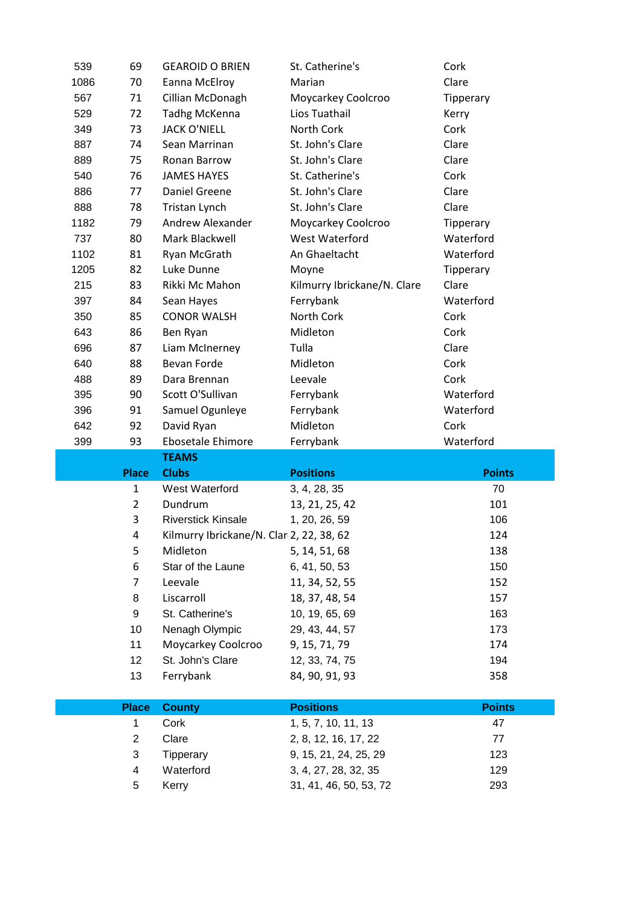| 539        | 69             | <b>GEAROID O BRIEN</b>                   | St. Catherine's             | Cork          |
|------------|----------------|------------------------------------------|-----------------------------|---------------|
|            |                |                                          |                             | Clare         |
| 1086       | 70             | Eanna McElroy                            | Marian                      |               |
| 567        | 71             | Cillian McDonagh                         | Moycarkey Coolcroo          | Tipperary     |
| 529        | 72             | <b>Tadhg McKenna</b>                     | Lios Tuathail               | Kerry         |
| 349        | 73             | <b>JACK O'NIELL</b>                      | North Cork                  | Cork          |
| 887        | 74             | Sean Marrinan                            | St. John's Clare            | Clare         |
| 889        | 75             | <b>Ronan Barrow</b>                      | St. John's Clare            | Clare         |
| 540        | 76             | <b>JAMES HAYES</b>                       | St. Catherine's             | Cork          |
| 886        | 77             | <b>Daniel Greene</b>                     | St. John's Clare            | Clare         |
| 888        | 78             | Tristan Lynch                            | St. John's Clare            | Clare         |
| 1182       | 79             | Andrew Alexander                         | Moycarkey Coolcroo          | Tipperary     |
| 737        | 80             | Mark Blackwell                           | West Waterford              | Waterford     |
| 1102       | 81             | Ryan McGrath                             | An Ghaeltacht               | Waterford     |
| 1205       | 82             | Luke Dunne                               | Moyne                       | Tipperary     |
| 215        | 83             | Rikki Mc Mahon                           | Kilmurry Ibrickane/N. Clare | Clare         |
| 397        | 84             | Sean Hayes                               | Ferrybank                   | Waterford     |
| 350        | 85             | <b>CONOR WALSH</b>                       | North Cork                  | Cork          |
| 643        | 86             | Ben Ryan                                 | Midleton                    | Cork          |
| 696        | 87             | Liam McInerney                           | Tulla                       | Clare         |
| 640        | 88             | <b>Bevan Forde</b>                       | Midleton                    | Cork          |
| 488        | 89             | Dara Brennan                             | Leevale                     | Cork          |
| 395        | 90             | Scott O'Sullivan                         | Ferrybank                   | Waterford     |
| 396<br>642 | 91             | Samuel Ogunleye                          | Ferrybank                   | Waterford     |
|            | 92             | David Ryan                               | Midleton                    | Cork          |
|            |                |                                          |                             |               |
| 399        | 93             | Ebosetale Ehimore                        | Ferrybank                   | Waterford     |
|            |                | <b>TEAMS</b>                             |                             |               |
|            | <b>Place</b>   | <b>Clubs</b>                             | <b>Positions</b>            | <b>Points</b> |
|            | $\mathbf{1}$   | West Waterford                           | 3, 4, 28, 35                | 70            |
|            | $\overline{2}$ | Dundrum                                  | 13, 21, 25, 42              | 101           |
|            | 3              | <b>Riverstick Kinsale</b>                | 1, 20, 26, 59               | 106           |
|            | 4              | Kilmurry Ibrickane/N. Clar 2, 22, 38, 62 |                             | 124           |
|            | 5              | Midleton                                 | 5, 14, 51, 68               | 138           |
|            | 6              | Star of the Laune                        | 6, 41, 50, 53               | 150           |
|            | 7              | Leevale                                  | 11, 34, 52, 55              | 152           |
|            | 8              | Liscarroll                               | 18, 37, 48, 54              | 157           |
|            | 9              | St. Catherine's                          | 10, 19, 65, 69              | 163           |
|            | 10             | Nenagh Olympic                           | 29, 43, 44, 57              | 173           |
|            | 11             | Moycarkey Coolcroo                       | 9, 15, 71, 79               | 174           |
|            | 12             | St. John's Clare                         | 12, 33, 74, 75              | 194           |
|            | 13             | Ferrybank                                | 84, 90, 91, 93              | 358           |
|            | <b>Place</b>   | <b>County</b>                            | <b>Positions</b>            | <b>Points</b> |
|            | 1              | Cork                                     | 1, 5, 7, 10, 11, 13         | 47            |
|            | $\overline{c}$ | Clare                                    | 2, 8, 12, 16, 17, 22        | 77            |
|            | 3              | Tipperary                                | 9, 15, 21, 24, 25, 29       | 123           |
|            | 4              | Waterford                                | 3, 4, 27, 28, 32, 35        | 129           |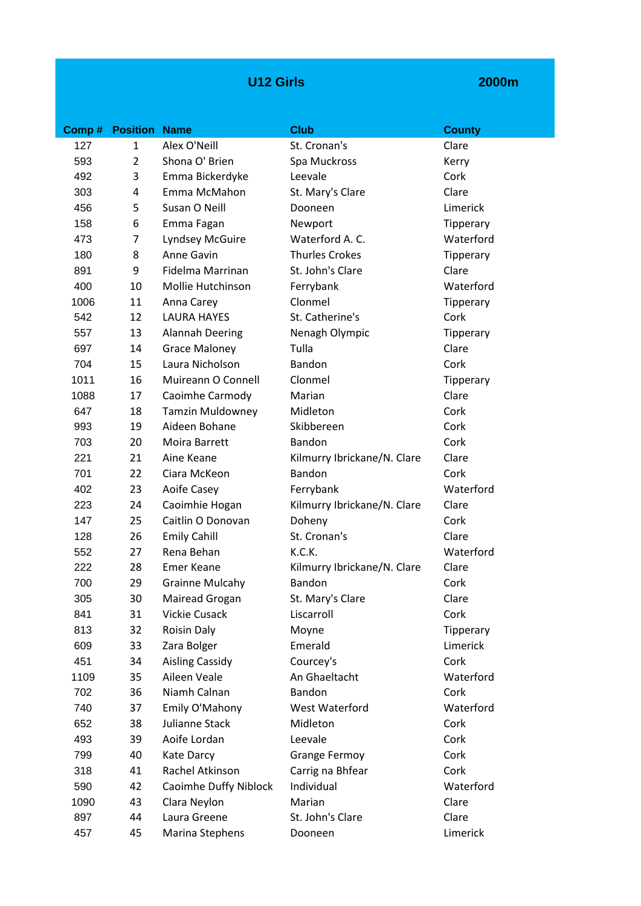### **U12 Girls**

|      | <b>Comp # Position Name</b> |                         | <b>Club</b>                 | <b>County</b> |
|------|-----------------------------|-------------------------|-----------------------------|---------------|
| 127  | $\mathbf{1}$                | Alex O'Neill            | St. Cronan's                | Clare         |
| 593  | $\overline{2}$              | Shona O' Brien          | Spa Muckross                | Kerry         |
| 492  | 3                           | Emma Bickerdyke         | Leevale                     | Cork          |
| 303  | 4                           | Emma McMahon            | St. Mary's Clare            | Clare         |
| 456  | 5                           | Susan O Neill           | Dooneen                     | Limerick      |
| 158  | 6                           | Emma Fagan              | Newport                     | Tipperary     |
| 473  | 7                           | Lyndsey McGuire         | Waterford A.C.              | Waterford     |
| 180  | 8                           | Anne Gavin              | <b>Thurles Crokes</b>       | Tipperary     |
| 891  | 9                           | Fidelma Marrinan        | St. John's Clare            | Clare         |
| 400  | 10                          | Mollie Hutchinson       | Ferrybank                   | Waterford     |
| 1006 | 11                          | Anna Carey              | Clonmel                     | Tipperary     |
| 542  | 12                          | <b>LAURA HAYES</b>      | St. Catherine's             | Cork          |
| 557  | 13                          | <b>Alannah Deering</b>  | Nenagh Olympic              | Tipperary     |
| 697  | 14                          | <b>Grace Maloney</b>    | Tulla                       | Clare         |
| 704  | 15                          | Laura Nicholson         | Bandon                      | Cork          |
| 1011 | 16                          | Muireann O Connell      | Clonmel                     | Tipperary     |
| 1088 | 17                          | Caoimhe Carmody         | Marian                      | Clare         |
| 647  | 18                          | <b>Tamzin Muldowney</b> | Midleton                    | Cork          |
| 993  | 19                          | Aideen Bohane           | Skibbereen                  | Cork          |
| 703  | 20                          | Moira Barrett           | Bandon                      | Cork          |
| 221  | 21                          | Aine Keane              | Kilmurry Ibrickane/N. Clare | Clare         |
| 701  | 22                          | Ciara McKeon            | Bandon                      | Cork          |
| 402  | 23                          | Aoife Casey             | Ferrybank                   | Waterford     |
| 223  | 24                          | Caoimhie Hogan          | Kilmurry Ibrickane/N. Clare | Clare         |
| 147  | 25                          | Caitlin O Donovan       | Doheny                      | Cork          |
| 128  | 26                          | <b>Emily Cahill</b>     | St. Cronan's                | Clare         |
| 552  | 27                          | Rena Behan              | K.C.K.                      | Waterford     |
| 222  | 28                          | <b>Emer Keane</b>       | Kilmurry Ibrickane/N. Clare | Clare         |
| 700  | 29                          | <b>Grainne Mulcahy</b>  | Bandon                      | Cork          |
| 305  | 30                          | Mairead Grogan          | St. Mary's Clare            | Clare         |
| 841  | 31                          | Vickie Cusack           | Liscarroll                  | Cork          |
| 813  | 32                          | <b>Roisin Daly</b>      | Moyne                       | Tipperary     |
| 609  | 33                          | Zara Bolger             | Emerald                     | Limerick      |
| 451  | 34                          | <b>Aisling Cassidy</b>  | Courcey's                   | Cork          |
| 1109 | 35                          | Aileen Veale            | An Ghaeltacht               | Waterford     |
| 702  | 36                          | Niamh Calnan            | Bandon                      | Cork          |
| 740  | 37                          | Emily O'Mahony          | West Waterford              | Waterford     |
| 652  | 38                          | Julianne Stack          | Midleton                    | Cork          |
| 493  | 39                          | Aoife Lordan            | Leevale                     | Cork          |
| 799  | 40                          | Kate Darcy              | <b>Grange Fermoy</b>        | Cork          |
| 318  | 41                          | Rachel Atkinson         | Carrig na Bhfear            | Cork          |
| 590  | 42                          | Caoimhe Duffy Niblock   | Individual                  | Waterford     |
| 1090 | 43                          | Clara Neylon            | Marian                      | Clare         |
| 897  | 44                          | Laura Greene            | St. John's Clare            | Clare         |
| 457  | 45                          | Marina Stephens         | Dooneen                     | Limerick      |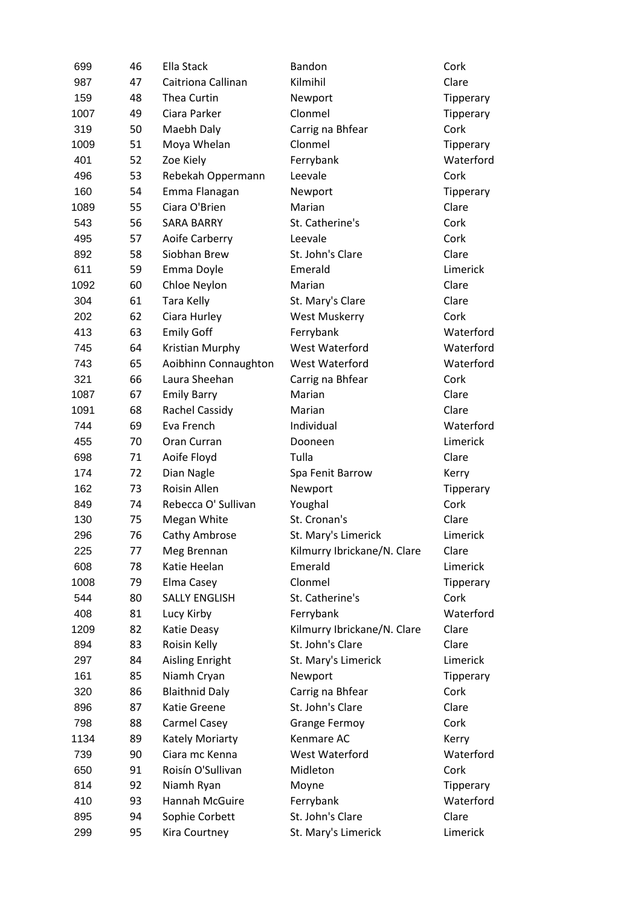| 699  | 46 | Ella Stack            | Bandon                      | Cork      |
|------|----|-----------------------|-----------------------------|-----------|
| 987  | 47 | Caitriona Callinan    | Kilmihil                    | Clare     |
| 159  | 48 | Thea Curtin           | Newport                     | Tipperary |
| 1007 | 49 | Ciara Parker          | Clonmel                     | Tipperary |
| 319  | 50 | Maebh Daly            | Carrig na Bhfear            | Cork      |
| 1009 | 51 | Moya Whelan           | Clonmel                     | Tipperary |
| 401  | 52 | Zoe Kiely             | Ferrybank                   | Waterford |
| 496  | 53 | Rebekah Oppermann     | Leevale                     | Cork      |
| 160  | 54 | Emma Flanagan         | Newport                     | Tipperary |
| 1089 | 55 | Ciara O'Brien         | Marian                      | Clare     |
| 543  | 56 | <b>SARA BARRY</b>     | St. Catherine's             | Cork      |
| 495  | 57 | Aoife Carberry        | Leevale                     | Cork      |
| 892  | 58 | Siobhan Brew          | St. John's Clare            | Clare     |
| 611  | 59 | Emma Doyle            | Emerald                     | Limerick  |
| 1092 | 60 | Chloe Neylon          | Marian                      | Clare     |
| 304  | 61 | Tara Kelly            | St. Mary's Clare            | Clare     |
| 202  | 62 | Ciara Hurley          | West Muskerry               | Cork      |
| 413  | 63 | <b>Emily Goff</b>     | Ferrybank                   | Waterford |
| 745  | 64 | Kristian Murphy       | West Waterford              | Waterford |
| 743  | 65 | Aoibhinn Connaughton  | West Waterford              | Waterford |
| 321  | 66 | Laura Sheehan         | Carrig na Bhfear            | Cork      |
| 1087 | 67 | <b>Emily Barry</b>    | Marian                      | Clare     |
| 1091 | 68 | <b>Rachel Cassidy</b> | Marian                      | Clare     |
| 744  | 69 | Eva French            | Individual                  | Waterford |
| 455  | 70 | Oran Curran           | Dooneen                     | Limerick  |
| 698  | 71 | Aoife Floyd           | Tulla                       | Clare     |
| 174  | 72 | Dian Nagle            | Spa Fenit Barrow            | Kerry     |
| 162  | 73 | Roisin Allen          | Newport                     | Tipperary |
| 849  | 74 | Rebecca O' Sullivan   | Youghal                     | Cork      |
| 130  | 75 | Megan White           | St. Cronan's                | Clare     |
| 296  | 76 | Cathy Ambrose         | St. Mary's Limerick         | Limerick  |
| 225  | 77 | Meg Brennan           | Kilmurry Ibrickane/N. Clare | Clare     |
| 608  | 78 | Katie Heelan          | Emerald                     | Limerick  |
| 1008 | 79 | Elma Casey            | Clonmel                     | Tipperary |
| 544  | 80 | <b>SALLY ENGLISH</b>  | St. Catherine's             | Cork      |
| 408  | 81 | Lucy Kirby            | Ferrybank                   | Waterford |
| 1209 | 82 | Katie Deasy           | Kilmurry Ibrickane/N. Clare | Clare     |
| 894  | 83 | Roisin Kelly          | St. John's Clare            | Clare     |
| 297  | 84 | Aisling Enright       | St. Mary's Limerick         | Limerick  |
| 161  | 85 | Niamh Cryan           | Newport                     | Tipperary |
| 320  | 86 | <b>Blaithnid Daly</b> | Carrig na Bhfear            | Cork      |
| 896  | 87 | Katie Greene          | St. John's Clare            | Clare     |
| 798  | 88 | Carmel Casey          | <b>Grange Fermoy</b>        | Cork      |
| 1134 | 89 | Kately Moriarty       | Kenmare AC                  | Kerry     |
| 739  | 90 | Ciara mc Kenna        | West Waterford              | Waterford |
| 650  | 91 | Roisín O'Sullivan     | Midleton                    | Cork      |
| 814  | 92 | Niamh Ryan            | Moyne                       | Tipperary |
| 410  | 93 | Hannah McGuire        | Ferrybank                   | Waterford |
| 895  | 94 | Sophie Corbett        | St. John's Clare            | Clare     |
| 299  | 95 | Kira Courtney         | St. Mary's Limerick         | Limerick  |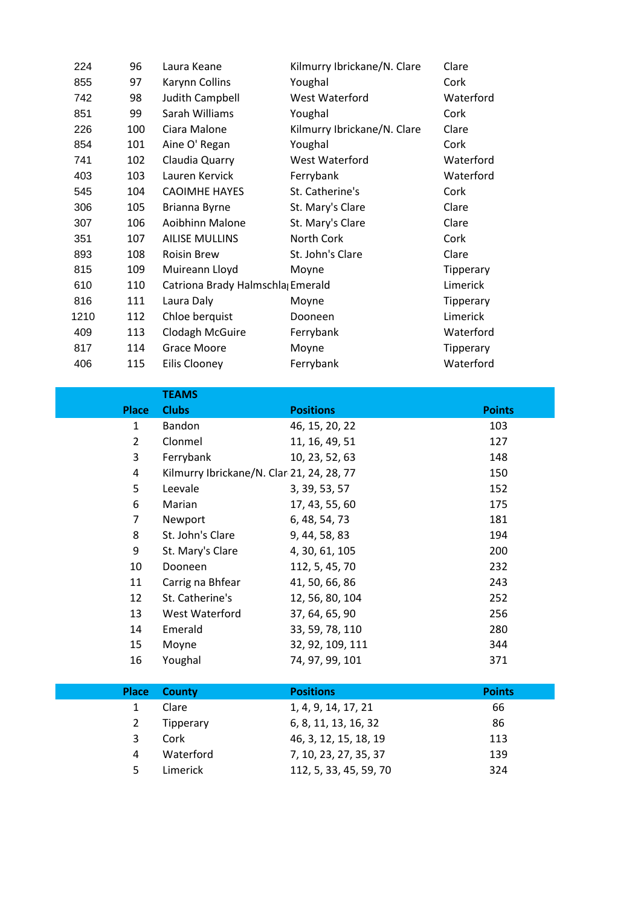| 224  | 96  | Laura Keane                      | Kilmurry Ibrickane/N. Clare | Clare     |
|------|-----|----------------------------------|-----------------------------|-----------|
| 855  | 97  | Karynn Collins                   | Youghal                     | Cork      |
| 742  | 98  | Judith Campbell                  | West Waterford              | Waterford |
| 851  | 99  | Sarah Williams                   | Youghal                     | Cork      |
| 226  | 100 | Ciara Malone                     | Kilmurry Ibrickane/N. Clare | Clare     |
| 854  | 101 | Aine O' Regan                    | Youghal                     | Cork      |
| 741  | 102 | Claudia Quarry                   | West Waterford              | Waterford |
| 403  | 103 | Lauren Kervick                   | Ferrybank                   | Waterford |
| 545  | 104 | <b>CAOIMHE HAYES</b>             | St. Catherine's             | Cork      |
| 306  | 105 | Brianna Byrne                    | St. Mary's Clare            | Clare     |
| 307  | 106 | Aoibhinn Malone                  | St. Mary's Clare            | Clare     |
| 351  | 107 | <b>AILISE MULLINS</b>            | North Cork                  | Cork      |
| 893  | 108 | <b>Roisin Brew</b>               | St. John's Clare            | Clare     |
| 815  | 109 | Muireann Lloyd                   | Moyne                       | Tipperary |
| 610  | 110 | Catriona Brady Halmschla Emerald |                             | Limerick  |
| 816  | 111 | Laura Daly                       | Moyne                       | Tipperary |
| 1210 | 112 | Chloe berquist                   | Dooneen                     | Limerick  |
| 409  | 113 | Clodagh McGuire                  | Ferrybank                   | Waterford |
| 817  | 114 | <b>Grace Moore</b>               | Moyne                       | Tipperary |
| 406  | 115 | Eilis Clooney                    | Ferrybank                   | Waterford |

|                | <b>TEAMS</b>                              |                       |               |
|----------------|-------------------------------------------|-----------------------|---------------|
| <b>Place</b>   | <b>Clubs</b>                              | <b>Positions</b>      | <b>Points</b> |
| $\mathbf{1}$   | Bandon                                    | 46, 15, 20, 22        | 103           |
| $\overline{2}$ | Clonmel                                   | 11, 16, 49, 51        | 127           |
| 3              | Ferrybank                                 | 10, 23, 52, 63        | 148           |
| 4              | Kilmurry Ibrickane/N. Clar 21, 24, 28, 77 |                       | 150           |
| 5              | Leevale                                   | 3, 39, 53, 57         | 152           |
| 6              | Marian                                    | 17, 43, 55, 60        | 175           |
| 7              | Newport                                   | 6, 48, 54, 73         | 181           |
| 8              | St. John's Clare                          | 9, 44, 58, 83         | 194           |
| 9              | St. Mary's Clare                          | 4, 30, 61, 105        | 200           |
| 10             | Dooneen                                   | 112, 5, 45, 70        | 232           |
| 11             | Carrig na Bhfear                          | 41, 50, 66, 86        | 243           |
| 12             | St. Catherine's                           | 12, 56, 80, 104       | 252           |
| 13             | West Waterford                            | 37, 64, 65, 90        | 256           |
| 14             | Emerald                                   | 33, 59, 78, 110       | 280           |
| 15             | Moyne                                     | 32, 92, 109, 111      | 344           |
| 16             | Youghal                                   | 74, 97, 99, 101       | 371           |
|                |                                           |                       |               |
| <b>Place</b>   | <b>County</b>                             | <b>Positions</b>      | <b>Points</b> |
| $\mathbf{1}$   | Clare                                     | 1, 4, 9, 14, 17, 21   | 66            |
| $\overline{2}$ | Tipperary                                 | 6, 8, 11, 13, 16, 32  | 86            |
| 3              | Cork                                      | 46, 3, 12, 15, 18, 19 | 113           |
| 4              | Waterford                                 | 7, 10, 23, 27, 35, 37 | 139           |

Limerick 112, 5, 33, 45, 59, 70 324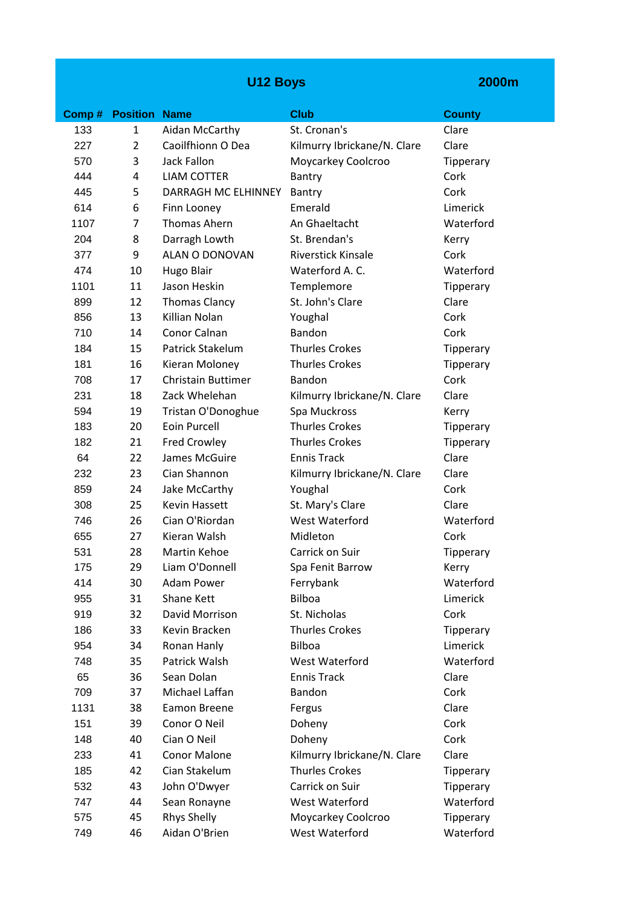## **U12 Boys**

| Comp# | <b>Position Name</b> |                           | <b>Club</b>                 | <b>County</b>    |
|-------|----------------------|---------------------------|-----------------------------|------------------|
| 133   | $\mathbf{1}$         | Aidan McCarthy            | St. Cronan's                | Clare            |
| 227   | $\overline{2}$       | Caoilfhionn O Dea         | Kilmurry Ibrickane/N. Clare | Clare            |
| 570   | 3                    | <b>Jack Fallon</b>        | Moycarkey Coolcroo          | Tipperary        |
| 444   | 4                    | <b>LIAM COTTER</b>        | Bantry                      | Cork             |
| 445   | 5                    | DARRAGH MC ELHINNEY       | Bantry                      | Cork             |
| 614   | 6                    | Finn Looney               | Emerald                     | Limerick         |
| 1107  | 7                    | Thomas Ahern              | An Ghaeltacht               | Waterford        |
| 204   | 8                    | Darragh Lowth             | St. Brendan's               | Kerry            |
| 377   | 9                    | ALAN O DONOVAN            | <b>Riverstick Kinsale</b>   | Cork             |
| 474   | 10                   | <b>Hugo Blair</b>         | Waterford A.C.              | Waterford        |
| 1101  | 11                   | Jason Heskin              | Templemore                  | Tipperary        |
| 899   | 12                   | <b>Thomas Clancy</b>      | St. John's Clare            | Clare            |
| 856   | 13                   | Killian Nolan             | Youghal                     | Cork             |
| 710   | 14                   | Conor Calnan              | Bandon                      | Cork             |
| 184   | 15                   | Patrick Stakelum          | <b>Thurles Crokes</b>       | <b>Tipperary</b> |
| 181   | 16                   | Kieran Moloney            | <b>Thurles Crokes</b>       | Tipperary        |
| 708   | 17                   | <b>Christain Buttimer</b> | Bandon                      | Cork             |
| 231   | 18                   | Zack Whelehan             | Kilmurry Ibrickane/N. Clare | Clare            |
| 594   | 19                   | Tristan O'Donoghue        | Spa Muckross                | Kerry            |
| 183   | 20                   | Eoin Purcell              | <b>Thurles Crokes</b>       | Tipperary        |
| 182   | 21                   | <b>Fred Crowley</b>       | <b>Thurles Crokes</b>       | Tipperary        |
| 64    | 22                   | James McGuire             | <b>Ennis Track</b>          | Clare            |
| 232   | 23                   | Cian Shannon              | Kilmurry Ibrickane/N. Clare | Clare            |
| 859   | 24                   | Jake McCarthy             | Youghal                     | Cork             |
| 308   | 25                   | <b>Kevin Hassett</b>      | St. Mary's Clare            | Clare            |
| 746   | 26                   | Cian O'Riordan            | West Waterford              | Waterford        |
| 655   | 27                   | Kieran Walsh              | Midleton                    | Cork             |
| 531   | 28                   | Martin Kehoe              | Carrick on Suir             | Tipperary        |
| 175   | 29                   | Liam O'Donnell            | Spa Fenit Barrow            | Kerry            |
| 414   | 30                   | Adam Power                | Ferrybank                   | Waterford        |
| 955   | 31                   | Shane Kett                | Bilboa                      | Limerick         |
| 919   | 32                   | David Morrison            | St. Nicholas                | Cork             |
| 186   | 33                   | Kevin Bracken             | <b>Thurles Crokes</b>       | Tipperary        |
| 954   | 34                   | Ronan Hanly               | Bilboa                      | Limerick         |
| 748   | 35                   | Patrick Walsh             | West Waterford              | Waterford        |
| 65    | 36                   | Sean Dolan                | <b>Ennis Track</b>          | Clare            |
| 709   | 37                   | Michael Laffan            | Bandon                      | Cork             |
| 1131  | 38                   | Eamon Breene              | Fergus                      | Clare            |
| 151   | 39                   | Conor O Neil              | Doheny                      | Cork             |
| 148   | 40                   | Cian O Neil               | Doheny                      | Cork             |
| 233   | 41                   | Conor Malone              | Kilmurry Ibrickane/N. Clare | Clare            |
| 185   | 42                   | Cian Stakelum             | <b>Thurles Crokes</b>       | Tipperary        |
| 532   | 43                   | John O'Dwyer              | Carrick on Suir             | Tipperary        |
| 747   | 44                   | Sean Ronayne              | West Waterford              | Waterford        |
| 575   | 45                   | <b>Rhys Shelly</b>        | Moycarkey Coolcroo          | Tipperary        |
| 749   | 46                   | Aidan O'Brien             | West Waterford              | Waterford        |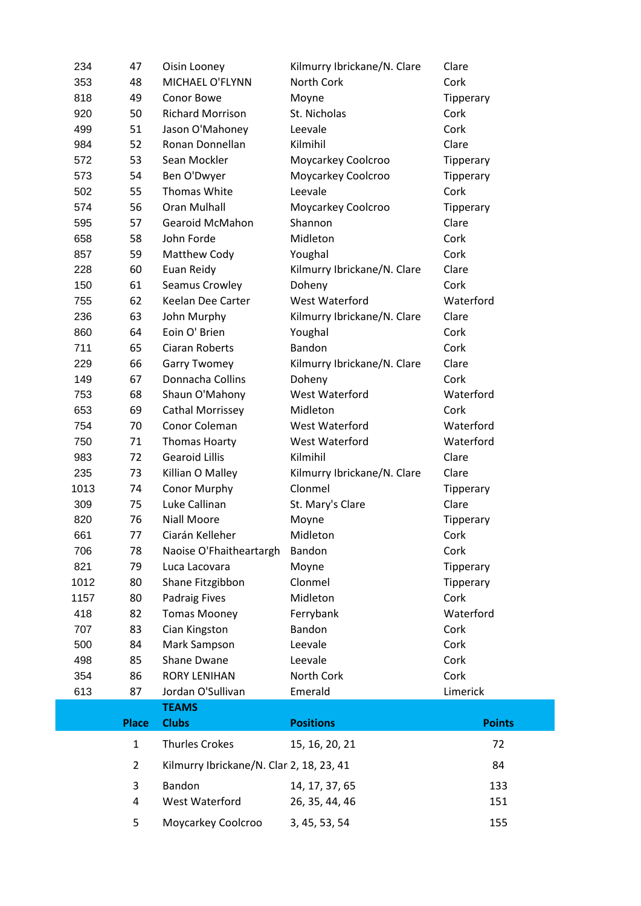| 234  | 47             | Oisin Looney                             | Kilmurry Ibrickane/N. Clare | Clare         |
|------|----------------|------------------------------------------|-----------------------------|---------------|
| 353  | 48             | MICHAEL O'FLYNN                          | North Cork                  | Cork          |
| 818  | 49             | Conor Bowe                               | Moyne                       | Tipperary     |
| 920  | 50             | <b>Richard Morrison</b>                  | St. Nicholas                | Cork          |
| 499  | 51             | Jason O'Mahoney                          | Leevale                     | Cork          |
| 984  | 52             | Ronan Donnellan                          | Kilmihil                    | Clare         |
| 572  | 53             | Sean Mockler                             | Moycarkey Coolcroo          | Tipperary     |
| 573  | 54             | Ben O'Dwyer                              | Moycarkey Coolcroo          | Tipperary     |
| 502  | 55             | Thomas White                             | Leevale                     | Cork          |
| 574  | 56             | <b>Oran Mulhall</b>                      | Moycarkey Coolcroo          | Tipperary     |
| 595  | 57             | <b>Gearoid McMahon</b>                   | Shannon                     | Clare         |
| 658  | 58             | John Forde                               | Midleton                    | Cork          |
| 857  | 59             | Matthew Cody                             | Youghal                     | Cork          |
| 228  | 60             | Euan Reidy                               | Kilmurry Ibrickane/N. Clare | Clare         |
| 150  | 61             | Seamus Crowley                           | Doheny                      | Cork          |
| 755  | 62             | Keelan Dee Carter                        | West Waterford              | Waterford     |
| 236  | 63             | John Murphy                              | Kilmurry Ibrickane/N. Clare | Clare         |
| 860  | 64             | Eoin O' Brien                            | Youghal                     | Cork          |
| 711  | 65             | Ciaran Roberts                           | Bandon                      | Cork          |
| 229  | 66             | <b>Garry Twomey</b>                      | Kilmurry Ibrickane/N. Clare | Clare         |
| 149  | 67             | Donnacha Collins                         | Doheny                      | Cork          |
| 753  | 68             | Shaun O'Mahony                           | West Waterford              | Waterford     |
| 653  | 69             | Cathal Morrissey                         | Midleton                    | Cork          |
| 754  | 70             | Conor Coleman                            | West Waterford              | Waterford     |
| 750  | 71             | Thomas Hoarty                            | West Waterford              | Waterford     |
| 983  | 72             | <b>Gearoid Lillis</b>                    | Kilmihil                    | Clare         |
| 235  | 73             | Killian O Malley                         | Kilmurry Ibrickane/N. Clare | Clare         |
| 1013 | 74             | <b>Conor Murphy</b>                      | Clonmel                     | Tipperary     |
| 309  | 75             | Luke Callinan                            | St. Mary's Clare            | Clare         |
| 820  | 76             | Niall Moore                              | Moyne                       | Tipperary     |
| 661  | 77             | Ciarán Kelleher                          | Midleton                    | Cork          |
| 706  | 78             | Naoise O'Fhaitheartargh                  | Bandon                      | Cork          |
| 821  | 79             | Luca Lacovara                            | Moyne                       | Tipperary     |
| 1012 | 80             | Shane Fitzgibbon                         | Clonmel                     | Tipperary     |
| 1157 | 80             | Padraig Fives                            | Midleton                    | Cork          |
| 418  | 82             | <b>Tomas Mooney</b>                      | Ferrybank                   | Waterford     |
| 707  | 83             | Cian Kingston                            | Bandon                      | Cork          |
| 500  | 84             | Mark Sampson                             | Leevale                     | Cork          |
| 498  | 85             | Shane Dwane                              | Leevale                     | Cork          |
| 354  | 86             | <b>RORY LENIHAN</b>                      | North Cork                  | Cork          |
| 613  | 87             | Jordan O'Sullivan                        | Emerald                     | Limerick      |
|      |                | <b>TEAMS</b>                             |                             |               |
|      | <b>Place</b>   | <b>Clubs</b>                             | <b>Positions</b>            | <b>Points</b> |
|      | $\mathbf{1}$   | <b>Thurles Crokes</b>                    | 15, 16, 20, 21              | 72            |
|      | $\overline{2}$ | Kilmurry Ibrickane/N. Clar 2, 18, 23, 41 |                             | 84            |
|      | 3              | Bandon                                   | 14, 17, 37, 65              | 133           |
|      | 4              | West Waterford                           | 26, 35, 44, 46              | 151           |
|      | 5              | Moycarkey Coolcroo                       | 3, 45, 53, 54               | 155           |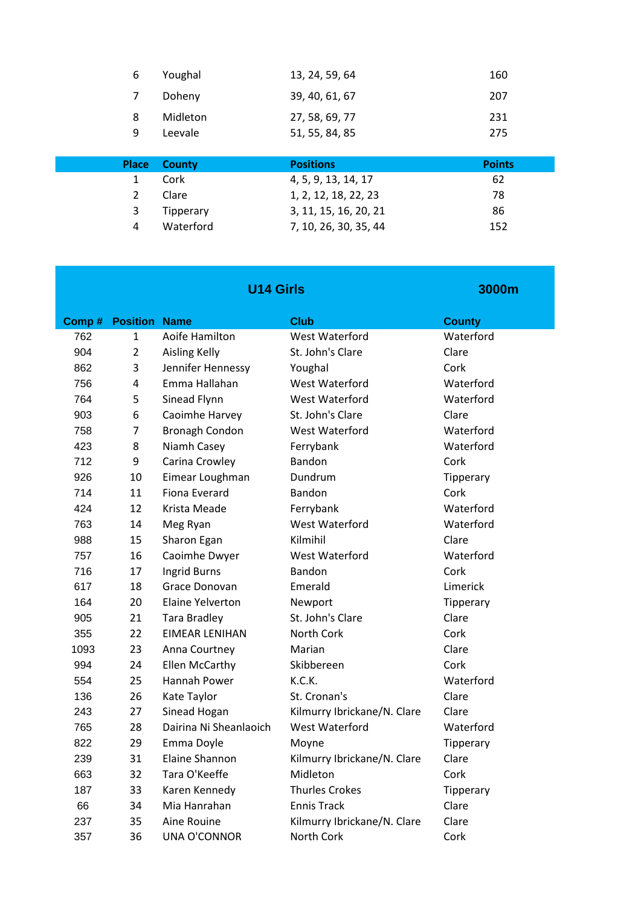| <b>Place</b> | <b>County</b> | <b>Positions</b> | <b>Points</b> |
|--------------|---------------|------------------|---------------|
| 9            | Leevale       | 51, 55, 84, 85   | 275           |
| 8            | Midleton      | 27, 58, 69, 77   | 231           |
| 7            | Doheny        | 39, 40, 61, 67   | 207           |
| 6            | Youghal       | 13, 24, 59, 64   | 160           |

|   | <b>Place County</b> | <b>Positions</b>      | <b>Points</b> |
|---|---------------------|-----------------------|---------------|
|   | Cork                | 4, 5, 9, 13, 14, 17   | 62            |
| 2 | Clare               | 1, 2, 12, 18, 22, 23  | 78            |
| 3 | Tipperary           | 3, 11, 15, 16, 20, 21 | 86            |
| 4 | Waterford           | 7, 10, 26, 30, 35, 44 | 152           |
|   |                     |                       |               |

**3000m**

#### **U14 Girls**

| Comp# | <b>Position Name</b> |                         | <b>Club</b>                 | <b>County</b> |
|-------|----------------------|-------------------------|-----------------------------|---------------|
| 762   | $\mathbf{1}$         | Aoife Hamilton          | West Waterford              | Waterford     |
| 904   | $\overline{2}$       | <b>Aisling Kelly</b>    | St. John's Clare            | Clare         |
| 862   | 3                    | Jennifer Hennessy       | Youghal                     | Cork          |
| 756   | 4                    | Emma Hallahan           | West Waterford              | Waterford     |
| 764   | 5                    | Sinead Flynn            | West Waterford              | Waterford     |
| 903   | 6                    | Caoimhe Harvey          | St. John's Clare            | Clare         |
| 758   | $\overline{7}$       | <b>Bronagh Condon</b>   | West Waterford              | Waterford     |
| 423   | 8                    | Niamh Casey             | Ferrybank                   | Waterford     |
| 712   | 9                    | Carina Crowley          | Bandon                      | Cork          |
| 926   | 10                   | Eimear Loughman         | Dundrum                     | Tipperary     |
| 714   | 11                   | <b>Fiona Everard</b>    | Bandon                      | Cork          |
| 424   | 12                   | Krista Meade            | Ferrybank                   | Waterford     |
| 763   | 14                   | Meg Ryan                | West Waterford              | Waterford     |
| 988   | 15                   | Sharon Egan             | Kilmihil                    | Clare         |
| 757   | 16                   | Caoimhe Dwyer           | West Waterford              | Waterford     |
| 716   | 17                   | Ingrid Burns            | Bandon                      | Cork          |
| 617   | 18                   | Grace Donovan           | Emerald                     | Limerick      |
| 164   | 20                   | <b>Elaine Yelverton</b> | Newport                     | Tipperary     |
| 905   | 21                   | <b>Tara Bradley</b>     | St. John's Clare            | Clare         |
| 355   | 22                   | <b>EIMEAR LENIHAN</b>   | North Cork                  | Cork          |
| 1093  | 23                   | Anna Courtney           | Marian                      | Clare         |
| 994   | 24                   | <b>Ellen McCarthy</b>   | Skibbereen                  | Cork          |
| 554   | 25                   | Hannah Power            | K.C.K.                      | Waterford     |
| 136   | 26                   | Kate Taylor             | St. Cronan's                | Clare         |
| 243   | 27                   | Sinead Hogan            | Kilmurry Ibrickane/N. Clare | Clare         |
| 765   | 28                   | Dairina Ni Sheanlaoich  | West Waterford              | Waterford     |
| 822   | 29                   | Emma Doyle              | Moyne                       | Tipperary     |
| 239   | 31                   | Elaine Shannon          | Kilmurry Ibrickane/N. Clare | Clare         |
| 663   | 32                   | Tara O'Keeffe           | Midleton                    | Cork          |
| 187   | 33                   | Karen Kennedy           | <b>Thurles Crokes</b>       | Tipperary     |
| 66    | 34                   | Mia Hanrahan            | <b>Ennis Track</b>          | Clare         |
| 237   | 35                   | Aine Rouine             | Kilmurry Ibrickane/N. Clare | Clare         |
| 357   | 36                   | <b>UNA O'CONNOR</b>     | North Cork                  | Cork          |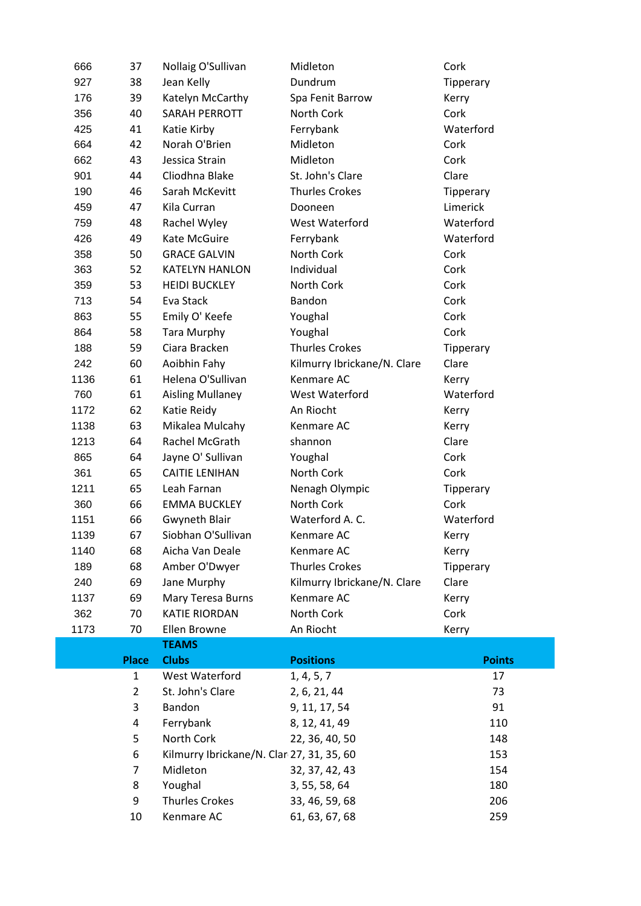| 666  | 37             | Nollaig O'Sullivan                        | Midleton                    | Cork          |
|------|----------------|-------------------------------------------|-----------------------------|---------------|
| 927  | 38             | Jean Kelly                                | Dundrum                     | Tipperary     |
| 176  | 39             | Katelyn McCarthy                          | Spa Fenit Barrow            | Kerry         |
| 356  | 40             | <b>SARAH PERROTT</b>                      | North Cork                  | Cork          |
| 425  | 41             | Katie Kirby                               | Ferrybank                   | Waterford     |
| 664  | 42             | Norah O'Brien                             | Midleton                    | Cork          |
| 662  | 43             | Jessica Strain                            | Midleton                    | Cork          |
| 901  | 44             | Cliodhna Blake                            | St. John's Clare            | Clare         |
| 190  | 46             | Sarah McKevitt                            | <b>Thurles Crokes</b>       | Tipperary     |
| 459  | 47             | Kila Curran                               | Dooneen                     | Limerick      |
| 759  | 48             | Rachel Wyley                              | West Waterford              | Waterford     |
| 426  | 49             | Kate McGuire                              | Ferrybank                   | Waterford     |
| 358  | 50             | <b>GRACE GALVIN</b>                       | North Cork                  | Cork          |
| 363  | 52             | <b>KATELYN HANLON</b>                     | Individual                  | Cork          |
| 359  | 53             | <b>HEIDI BUCKLEY</b>                      | North Cork                  | Cork          |
| 713  | 54             | Eva Stack                                 | Bandon                      | Cork          |
| 863  | 55             | Emily O' Keefe                            | Youghal                     | Cork          |
| 864  | 58             | <b>Tara Murphy</b>                        | Youghal                     | Cork          |
| 188  | 59             | Ciara Bracken                             | <b>Thurles Crokes</b>       | Tipperary     |
| 242  | 60             | Aoibhin Fahy                              | Kilmurry Ibrickane/N. Clare | Clare         |
| 1136 | 61             | Helena O'Sullivan                         | Kenmare AC                  | Kerry         |
| 760  | 61             | <b>Aisling Mullaney</b>                   | West Waterford              | Waterford     |
| 1172 | 62             | Katie Reidy                               | An Riocht                   | Kerry         |
| 1138 | 63             | Mikalea Mulcahy                           | Kenmare AC                  | Kerry         |
| 1213 | 64             | Rachel McGrath                            | shannon                     | Clare         |
| 865  | 64             | Jayne O' Sullivan                         | Youghal                     | Cork          |
| 361  | 65             | <b>CAITIE LENIHAN</b>                     | North Cork                  | Cork          |
| 1211 | 65             | Leah Farnan                               | Nenagh Olympic              | Tipperary     |
| 360  | 66             | <b>EMMA BUCKLEY</b>                       | North Cork                  | Cork          |
| 1151 | 66             | Gwyneth Blair                             | Waterford A. C.             | Waterford     |
| 1139 | 67             | Siobhan O'Sullivan                        | Kenmare AC                  | Kerry         |
| 1140 | 68             | Aicha Van Deale                           | Kenmare AC                  | Kerry         |
| 189  | 68             | Amber O'Dwyer                             | <b>Thurles Crokes</b>       | Tipperary     |
| 240  | 69             | Jane Murphy                               | Kilmurry Ibrickane/N. Clare | Clare         |
| 1137 | 69             | Mary Teresa Burns                         | Kenmare AC                  | Kerry         |
| 362  | 70             | <b>KATIE RIORDAN</b>                      | North Cork                  | Cork          |
| 1173 | 70             | Ellen Browne                              | An Riocht                   | Kerry         |
|      |                | <b>TEAMS</b>                              |                             |               |
|      | <b>Place</b>   | <b>Clubs</b>                              | <b>Positions</b>            | <b>Points</b> |
|      | $\mathbf{1}$   | West Waterford                            | 1, 4, 5, 7                  | 17            |
|      | $\overline{2}$ | St. John's Clare                          | 2, 6, 21, 44                | 73            |
|      | 3              | Bandon                                    | 9, 11, 17, 54               | 91            |
|      | 4              | Ferrybank                                 | 8, 12, 41, 49               | 110           |
|      | 5              | North Cork                                | 22, 36, 40, 50              | 148           |
|      | 6              | Kilmurry Ibrickane/N. Clar 27, 31, 35, 60 |                             | 153           |
|      | 7              | Midleton                                  | 32, 37, 42, 43              | 154           |
|      | 8              | Youghal                                   | 3, 55, 58, 64               | 180           |
|      | 9              | <b>Thurles Crokes</b>                     | 33, 46, 59, 68              | 206           |
|      | 10             | Kenmare AC                                | 61, 63, 67, 68              | 259           |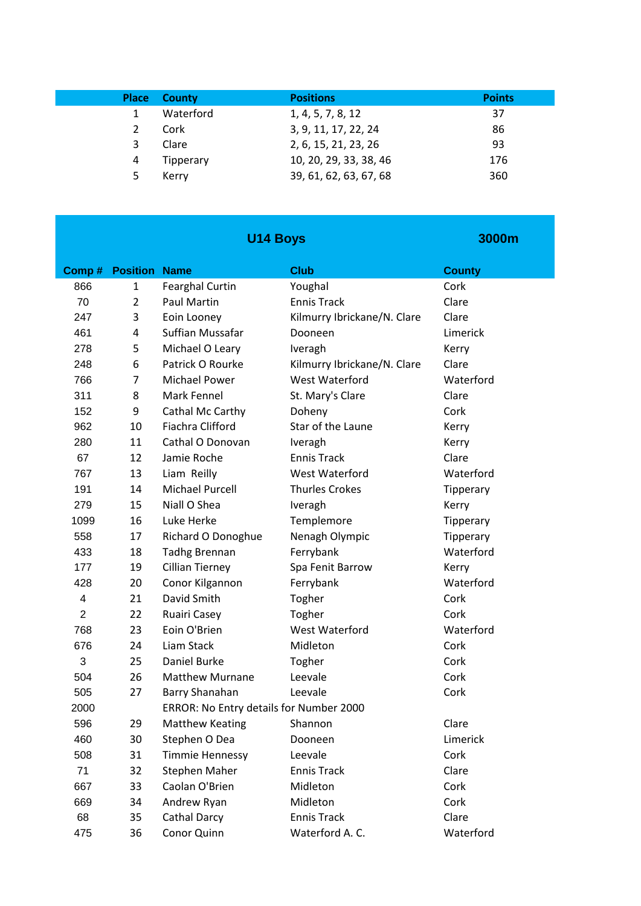|   | <b>Place County</b> | <b>Positions</b>       | <b>Points</b> |
|---|---------------------|------------------------|---------------|
|   | Waterford           | 1, 4, 5, 7, 8, 12      | 37            |
|   | Cork                | 3, 9, 11, 17, 22, 24   | 86            |
| 3 | Clare               | 2, 6, 15, 21, 23, 26   | 93            |
| 4 | Tipperary           | 10, 20, 29, 33, 38, 46 | 176           |
| 5 | Kerry               | 39, 61, 62, 63, 67, 68 | 360           |

| <b>U14 Boys</b> |                      |                                         | 3000m                       |                  |
|-----------------|----------------------|-----------------------------------------|-----------------------------|------------------|
| Comp#           | <b>Position Name</b> |                                         | <b>Club</b>                 | <b>County</b>    |
| 866             | 1                    | <b>Fearghal Curtin</b>                  | Youghal                     | Cork             |
| 70              | $\overline{2}$       | <b>Paul Martin</b>                      | <b>Ennis Track</b>          | Clare            |
| 247             | 3                    | Eoin Looney                             | Kilmurry Ibrickane/N. Clare | Clare            |
| 461             | 4                    | Suffian Mussafar                        | Dooneen                     | Limerick         |
| 278             | 5                    | Michael O Leary                         | Iveragh                     | Kerry            |
| 248             | 6                    | Patrick O Rourke                        | Kilmurry Ibrickane/N. Clare | Clare            |
| 766             | 7                    | <b>Michael Power</b>                    | <b>West Waterford</b>       | Waterford        |
| 311             | 8                    | Mark Fennel                             | St. Mary's Clare            | Clare            |
| 152             | 9                    | Cathal Mc Carthy                        | Doheny                      | Cork             |
| 962             | 10                   | Fiachra Clifford                        | Star of the Laune           | Kerry            |
| 280             | 11                   | Cathal O Donovan                        | Iveragh                     | Kerry            |
| 67              | 12                   | Jamie Roche                             | <b>Ennis Track</b>          | Clare            |
| 767             | 13                   | Liam Reilly                             | West Waterford              | Waterford        |
| 191             | 14                   | <b>Michael Purcell</b>                  | <b>Thurles Crokes</b>       | <b>Tipperary</b> |
| 279             | 15                   | Niall O Shea                            | Iveragh                     | Kerry            |
| 1099            | 16                   | Luke Herke                              | Templemore                  | Tipperary        |
| 558             | 17                   | Richard O Donoghue                      | Nenagh Olympic              | Tipperary        |
| 433             | 18                   | <b>Tadhg Brennan</b>                    | Ferrybank                   | Waterford        |
| 177             | 19                   | <b>Cillian Tierney</b>                  | Spa Fenit Barrow            | Kerry            |
| 428             | 20                   | Conor Kilgannon                         | Ferrybank                   | Waterford        |
| 4               | 21                   | David Smith                             | Togher                      | Cork             |
| $\overline{2}$  | 22                   | Ruairi Casey                            | Togher                      | Cork             |
| 768             | 23                   | Eoin O'Brien                            | <b>West Waterford</b>       | Waterford        |
| 676             | 24                   | Liam Stack                              | Midleton                    | Cork             |
| 3               | 25                   | Daniel Burke                            | Togher                      | Cork             |
| 504             | 26                   | <b>Matthew Murnane</b>                  | Leevale                     | Cork             |
| 505             | 27                   | Barry Shanahan                          | Leevale                     | Cork             |
| 2000            |                      | ERROR: No Entry details for Number 2000 |                             |                  |
| 596             | 29                   | <b>Matthew Keating</b>                  | Shannon                     | Clare            |
| 460             | 30                   | Stephen O Dea                           | Dooneen                     | Limerick         |
| 508             | 31                   | <b>Timmie Hennessy</b>                  | Leevale                     | Cork             |
| 71              | 32                   | Stephen Maher                           | <b>Ennis Track</b>          | Clare            |
| 667             | 33                   | Caolan O'Brien                          | Midleton                    | Cork             |
| 669             | 34                   | Andrew Ryan                             | Midleton                    | Cork             |
| 68              | 35                   | <b>Cathal Darcy</b>                     | <b>Ennis Track</b>          | Clare            |
| 475             | 36                   | Conor Quinn                             | Waterford A. C.             | Waterford        |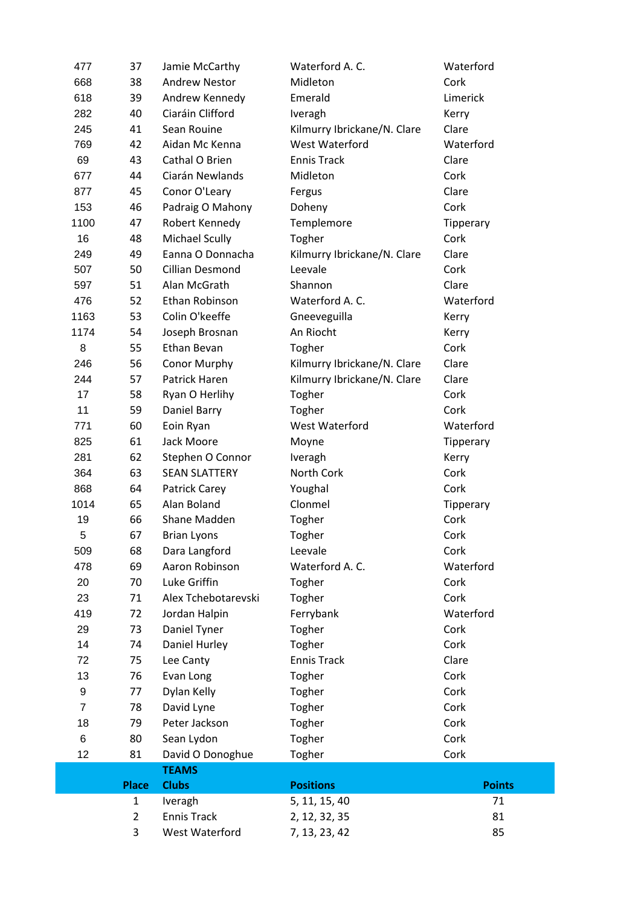|                | 3              | West Waterford        | 7, 13, 23, 42               | 85            |
|----------------|----------------|-----------------------|-----------------------------|---------------|
|                | $\overline{2}$ | <b>Ennis Track</b>    | 2, 12, 32, 35               | 81            |
|                | $\mathbf{1}$   | Iveragh               | 5, 11, 15, 40               | 71            |
|                | <b>Place</b>   | <b>Clubs</b>          | <b>Positions</b>            | <b>Points</b> |
|                |                | <b>TEAMS</b>          |                             |               |
| 12             | 81             | David O Donoghue      | Togher                      | Cork          |
| 6              | 80             | Sean Lydon            | Togher                      | Cork          |
| 18             | 79             | Peter Jackson         | Togher                      | Cork          |
| $\overline{7}$ | 78             | David Lyne            | Togher                      | Cork          |
| 9              | 77             | Dylan Kelly           | Togher                      | Cork          |
| 13             | 76             | Evan Long             | Togher                      | Cork          |
| 72             | 75             | Lee Canty             | <b>Ennis Track</b>          | Clare         |
| 14             | 74             | Daniel Hurley         | Togher                      | Cork          |
| 29             | 73             | Daniel Tyner          | Togher                      | Cork          |
| 419            | 72             | Jordan Halpin         | Ferrybank                   | Waterford     |
| 23             | 71             | Alex Tchebotarevski   | Togher                      | Cork          |
| 20             | 70             | Luke Griffin          | Togher                      | Cork          |
| 478            | 69             | Aaron Robinson        | Waterford A. C.             | Waterford     |
| 509            | 68             | Dara Langford         | Leevale                     | Cork          |
| 5              | 67             | <b>Brian Lyons</b>    | Togher                      | Cork          |
| 19             | 66             | Shane Madden          | Togher                      | Cork          |
| 1014           | 65             | Alan Boland           | Clonmel                     | Tipperary     |
| 868            | 64             | Patrick Carey         | Youghal                     | Cork          |
| 364            | 63             | <b>SEAN SLATTERY</b>  | North Cork                  | Cork          |
| 281            | 62             | Stephen O Connor      | Iveragh                     | Kerry         |
| 825            | 61             | Jack Moore            | Moyne                       | Tipperary     |
| 771            | 60             | Eoin Ryan             | West Waterford              | Waterford     |
| 11             | 59             | Daniel Barry          | Togher                      | Cork          |
| 17             | 58             | Ryan O Herlihy        | Togher                      | Cork          |
| 244            | 57             | Patrick Haren         | Kilmurry Ibrickane/N. Clare | Clare         |
| 246            | 56             | Conor Murphy          | Kilmurry Ibrickane/N. Clare | Clare         |
| 8              | 55             | Ethan Bevan           | Togher                      | Cork          |
| 1174           | 54             | Joseph Brosnan        | An Riocht                   | Kerry         |
| 1163           | 53             | Colin O'keeffe        | Gneeveguilla                | Kerry         |
| 476            | 52             | Ethan Robinson        | Waterford A.C.              | Waterford     |
| 597            | 51             | Alan McGrath          | Shannon                     | Clare         |
| 507            | 50             | Cillian Desmond       | Leevale                     | Cork          |
| 249            | 49             | Eanna O Donnacha      | Kilmurry Ibrickane/N. Clare | Clare         |
| 16             | 48             | <b>Michael Scully</b> | Togher                      | Cork          |
| 1100           | 47             | Robert Kennedy        | Templemore                  | Tipperary     |
| 153            | 46             | Padraig O Mahony      | Doheny                      | Cork          |
| 877            | 45             | Conor O'Leary         | Fergus                      | Clare         |
| 677            | 44             | Ciarán Newlands       | Midleton                    | Cork          |
| 69             | 43             | Cathal O Brien        | <b>Ennis Track</b>          | Clare         |
| 769            | 42             | Aidan Mc Kenna        | West Waterford              | Waterford     |
| 245            | 41             | Sean Rouine           | Kilmurry Ibrickane/N. Clare | Clare         |
| 282            | 40             | Ciaráin Clifford      | Iveragh                     | Kerry         |
| 618            | 39             | Andrew Kennedy        | Emerald                     | Limerick      |
| 668            | 38             | <b>Andrew Nestor</b>  | Midleton                    | Cork          |
| 477            | 37             | Jamie McCarthy        | Waterford A. C.             | Waterford     |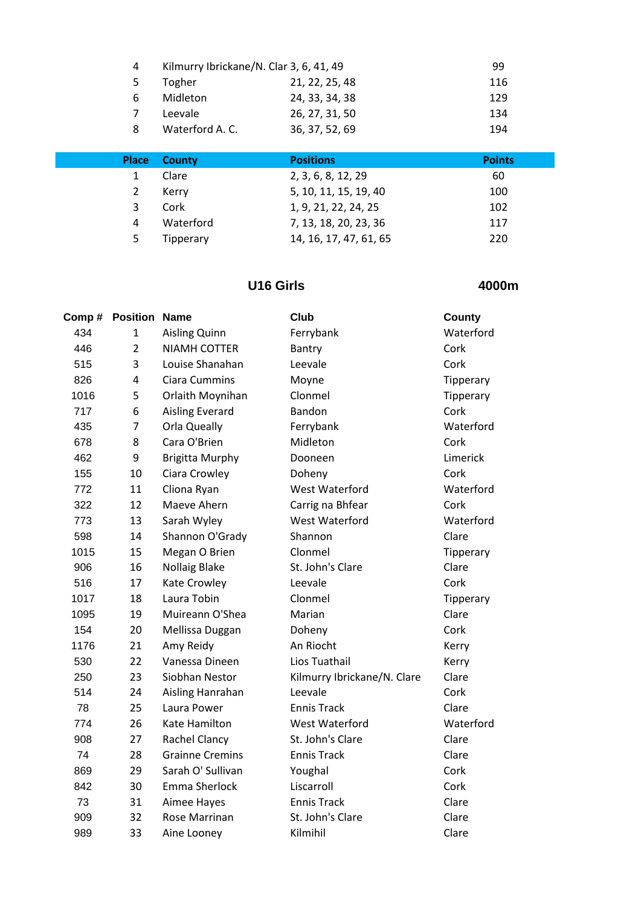| 4 | Kilmurry Ibrickane/N. Clar 3, 6, 41, 49 |                | 99  |
|---|-----------------------------------------|----------------|-----|
| 5 | Togher                                  | 21, 22, 25, 48 | 116 |
| 6 | Midleton                                | 24, 33, 34, 38 | 129 |
|   | Leevale                                 | 26, 27, 31, 50 | 134 |
| 8 | Waterford A. C.                         | 36, 37, 52, 69 | 194 |

| <b>Place</b> | <b>County</b> | <b>Positions</b>       | <b>Points</b> |
|--------------|---------------|------------------------|---------------|
|              | Clare         | 2, 3, 6, 8, 12, 29     | 60            |
|              | Kerry         | 5, 10, 11, 15, 19, 40  | 100           |
| 3            | Cork          | 1, 9, 21, 22, 24, 25   | 102           |
| 4            | Waterford     | 7, 13, 18, 20, 23, 36  | 117           |
| 5            | Tipperary     | 14, 16, 17, 47, 61, 65 | 220           |

### **U16 Girls**

| Comp# | <b>Position</b> | <b>Name</b>            | Club                        | <b>County</b> |
|-------|-----------------|------------------------|-----------------------------|---------------|
| 434   | $\mathbf{1}$    | <b>Aisling Quinn</b>   | Ferrybank                   | Waterford     |
| 446   | $\overline{2}$  | <b>NIAMH COTTER</b>    | Bantry                      | Cork          |
| 515   | 3               | Louise Shanahan        | Leevale                     | Cork          |
| 826   | $\overline{4}$  | <b>Ciara Cummins</b>   | Moyne                       | Tipperary     |
| 1016  | 5               | Orlaith Moynihan       | Clonmel                     | Tipperary     |
| 717   | 6               | <b>Aisling Everard</b> | Bandon                      | Cork          |
| 435   | 7               | Orla Queally           | Ferrybank                   | Waterford     |
| 678   | 8               | Cara O'Brien           | Midleton                    | Cork          |
| 462   | 9               | <b>Brigitta Murphy</b> | Dooneen                     | Limerick      |
| 155   | 10              | Ciara Crowley          | Doheny                      | Cork          |
| 772   | 11              | Cliona Ryan            | West Waterford              | Waterford     |
| 322   | 12              | Maeve Ahern            | Carrig na Bhfear            | Cork          |
| 773   | 13              | Sarah Wyley            | West Waterford              | Waterford     |
| 598   | 14              | Shannon O'Grady        | Shannon                     | Clare         |
| 1015  | 15              | Megan O Brien          | Clonmel                     | Tipperary     |
| 906   | 16              | <b>Nollaig Blake</b>   | St. John's Clare            | Clare         |
| 516   | 17              | Kate Crowley           | Leevale                     | Cork          |
| 1017  | 18              | Laura Tobin            | Clonmel                     | Tipperary     |
| 1095  | 19              | Muireann O'Shea        | Marian                      | Clare         |
| 154   | 20              | Mellissa Duggan        | Doheny                      | Cork          |
| 1176  | 21              | Amy Reidy              | An Riocht                   | Kerry         |
| 530   | 22              | Vanessa Dineen         | Lios Tuathail               | Kerry         |
| 250   | 23              | Siobhan Nestor         | Kilmurry Ibrickane/N. Clare | Clare         |
| 514   | 24              | Aisling Hanrahan       | Leevale                     | Cork          |
| 78    | 25              | Laura Power            | <b>Ennis Track</b>          | Clare         |
| 774   | 26              | Kate Hamilton          | West Waterford              | Waterford     |
| 908   | 27              | Rachel Clancy          | St. John's Clare            | Clare         |
| 74    | 28              | <b>Grainne Cremins</b> | <b>Ennis Track</b>          | Clare         |
| 869   | 29              | Sarah O' Sullivan      | Youghal                     | Cork          |
| 842   | 30              | Emma Sherlock          | Liscarroll                  | Cork          |
| 73    | 31              | Aimee Hayes            | <b>Ennis Track</b>          | Clare         |
| 909   | 32              | Rose Marrinan          | St. John's Clare            | Clare         |
| 989   | 33              | Aine Looney            | Kilmihil                    | Clare         |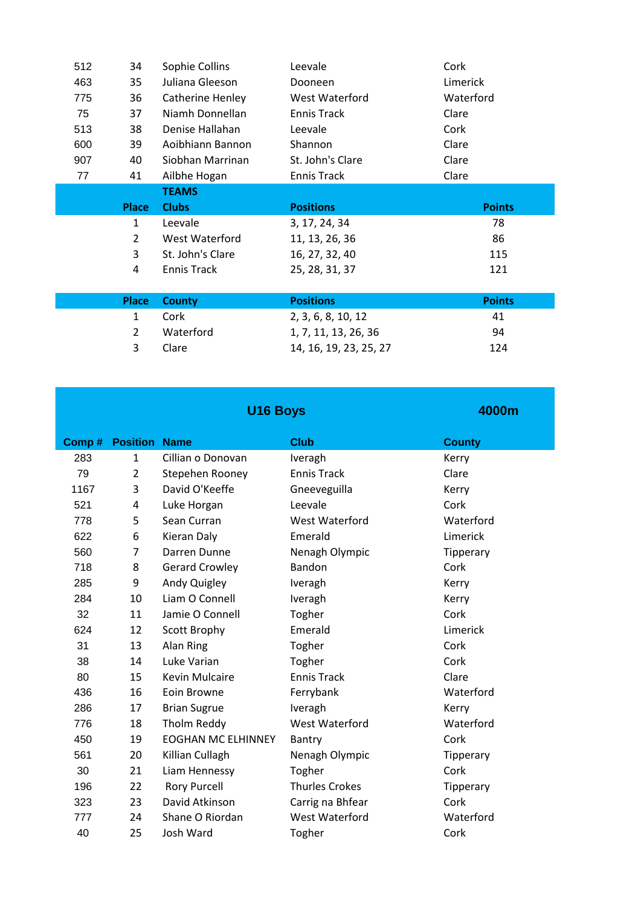|  | 512 | 34             | Sophie Collins          | Leevale            | Cork          |
|--|-----|----------------|-------------------------|--------------------|---------------|
|  | 463 | 35             | Juliana Gleeson         | Dooneen            | Limerick      |
|  | 775 | 36             | <b>Catherine Henley</b> | West Waterford     | Waterford     |
|  | 75  | 37             | Niamh Donnellan         | <b>Ennis Track</b> | Clare         |
|  | 513 | 38             | Denise Hallahan         | Leevale            | Cork          |
|  | 600 | 39             | Aoibhiann Bannon        | Shannon            | Clare         |
|  | 907 | 40             | Siobhan Marrinan        | St. John's Clare   | Clare         |
|  | 77  | 41             | Ailbhe Hogan            | <b>Ennis Track</b> | Clare         |
|  |     |                | <b>TEAMS</b>            |                    |               |
|  |     |                |                         |                    |               |
|  |     | <b>Place</b>   | <b>Clubs</b>            | <b>Positions</b>   | <b>Points</b> |
|  |     | 1              | Leevale                 | 3, 17, 24, 34      | 78            |
|  |     | $\overline{2}$ | West Waterford          | 11, 13, 26, 36     | 86            |
|  |     | 3              | St. John's Clare        | 16, 27, 32, 40     | 115           |
|  |     | $\overline{4}$ | <b>Ennis Track</b>      | 25, 28, 31, 37     | 121           |
|  |     |                |                         |                    |               |
|  |     | <b>Place</b>   | <b>County</b>           | <b>Positions</b>   | <b>Points</b> |
|  |     | 1              | Cork                    | 2, 3, 6, 8, 10, 12 | 41            |

|   | 2 Waterford | 1, 7, 11, 13, 26, 36   | 94  |
|---|-------------|------------------------|-----|
| 3 | Clare       | 14, 16, 19, 23, 25, 27 | 124 |
|   |             |                        |     |

|       |                      | U16 Boys                  |                       | 4000m         |
|-------|----------------------|---------------------------|-----------------------|---------------|
| Comp# | <b>Position Name</b> |                           | <b>Club</b>           | <b>County</b> |
| 283   | $\mathbf{1}$         | Cillian o Donovan         | Iveragh               | Kerry         |
| 79    | $\overline{2}$       | Stepehen Rooney           | <b>Ennis Track</b>    | Clare         |
| 1167  | 3                    | David O'Keeffe            | Gneeveguilla          | Kerry         |
| 521   | 4                    | Luke Horgan               | Leevale               | Cork          |
| 778   | 5                    | Sean Curran               | <b>West Waterford</b> | Waterford     |
| 622   | 6                    | Kieran Daly               | Emerald               | Limerick      |
| 560   | $\overline{7}$       | Darren Dunne              | Nenagh Olympic        | Tipperary     |
| 718   | 8                    | <b>Gerard Crowley</b>     | <b>Bandon</b>         | Cork          |
| 285   | 9                    | Andy Quigley              | Iveragh               | Kerry         |
| 284   | 10                   | Liam O Connell            | Iveragh               | Kerry         |
| 32    | 11                   | Jamie O Connell           | Togher                | Cork          |
| 624   | 12                   | <b>Scott Brophy</b>       | Emerald               | Limerick      |
| 31    | 13                   | Alan Ring                 | Togher                | Cork          |
| 38    | 14                   | Luke Varian               | Togher                | Cork          |
| 80    | 15                   | <b>Kevin Mulcaire</b>     | <b>Ennis Track</b>    | Clare         |
| 436   | 16                   | Eoin Browne               | Ferrybank             | Waterford     |
| 286   | 17                   | <b>Brian Sugrue</b>       | Iveragh               | Kerry         |
| 776   | 18                   | Tholm Reddy               | West Waterford        | Waterford     |
| 450   | 19                   | <b>EOGHAN MC ELHINNEY</b> | Bantry                | Cork          |
| 561   | 20                   | Killian Cullagh           | Nenagh Olympic        | Tipperary     |
| 30    | 21                   | Liam Hennessy             | Togher                | Cork          |
| 196   | 22                   | <b>Rory Purcell</b>       | <b>Thurles Crokes</b> | Tipperary     |
| 323   | 23                   | David Atkinson            | Carrig na Bhfear      | Cork          |
| 777   | 24                   | Shane O Riordan           | <b>West Waterford</b> | Waterford     |
| 40    | 25                   | Josh Ward                 | Togher                | Cork          |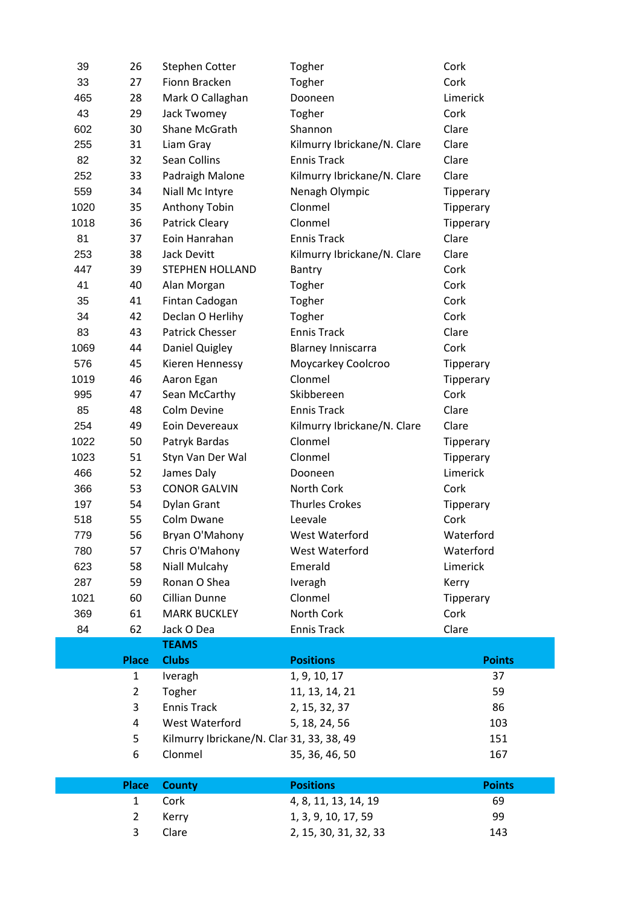|      | 3              | Clare                                     | 2, 15, 30, 31, 32, 33       | 143              |
|------|----------------|-------------------------------------------|-----------------------------|------------------|
|      | $\overline{2}$ | Kerry                                     | 1, 3, 9, 10, 17, 59         | 99               |
|      | $\mathbf{1}$   | Cork                                      | 4, 8, 11, 13, 14, 19        | 69               |
|      | <b>Place</b>   | <b>County</b>                             | <b>Positions</b>            | <b>Points</b>    |
|      |                |                                           |                             |                  |
|      | 6              | Clonmel                                   | 35, 36, 46, 50              | 167              |
|      | 5              | Kilmurry Ibrickane/N. Clar 31, 33, 38, 49 |                             | 151              |
|      | 4              | West Waterford                            | 5, 18, 24, 56               | 103              |
|      | 3              | <b>Ennis Track</b>                        | 2, 15, 32, 37               | 86               |
|      | $\overline{2}$ | Togher                                    | 11, 13, 14, 21              | 59               |
|      | $\mathbf{1}$   | Iveragh                                   | 1, 9, 10, 17                | 37               |
|      | <b>Place</b>   | <b>Clubs</b>                              | <b>Positions</b>            | <b>Points</b>    |
|      |                | <b>TEAMS</b>                              |                             |                  |
| 84   | 62             | Jack O Dea                                | <b>Ennis Track</b>          | Clare            |
| 369  | 61             | <b>MARK BUCKLEY</b>                       | North Cork                  | Cork             |
| 1021 | 60             | Cillian Dunne                             | Clonmel                     | Tipperary        |
| 287  | 59             | Ronan O Shea                              | Iveragh                     | Kerry            |
| 623  | 58             | Niall Mulcahy                             | Emerald                     | Limerick         |
| 780  | 57             | Chris O'Mahony                            | West Waterford              | Waterford        |
| 779  | 56             | Bryan O'Mahony                            | West Waterford              | Waterford        |
| 518  | 55             | Colm Dwane                                | Leevale                     | Cork             |
| 197  | 54             | <b>Dylan Grant</b>                        | <b>Thurles Crokes</b>       | <b>Tipperary</b> |
| 366  | 53             | <b>CONOR GALVIN</b>                       | North Cork                  | Cork             |
| 466  | 52             | James Daly                                | Dooneen                     | Limerick         |
| 1023 | 51             | Styn Van Der Wal                          | Clonmel                     | Tipperary        |
| 1022 | 50             | Patryk Bardas                             |                             | <b>Tipperary</b> |
|      |                |                                           | Clonmel                     |                  |
| 254  | 49             | Eoin Devereaux                            | Kilmurry Ibrickane/N. Clare | Clare            |
| 85   | 48             | Colm Devine                               | <b>Ennis Track</b>          | Clare            |
| 995  | 47             | Sean McCarthy                             | Skibbereen                  | Cork             |
| 1019 | 46             | Aaron Egan                                | Clonmel                     | Tipperary        |
| 576  | 45             | Kieren Hennessy                           | Moycarkey Coolcroo          | Tipperary        |
| 1069 | 44             | Daniel Quigley                            | <b>Blarney Inniscarra</b>   | Cork             |
| 83   | 43             | <b>Patrick Chesser</b>                    | <b>Ennis Track</b>          | Clare            |
| 34   | 42             | Declan O Herlihy                          | Togher                      | Cork             |
| 35   | 41             | Fintan Cadogan                            | Togher                      | Cork             |
| 41   | 40             | Alan Morgan                               | Togher                      | Cork             |
| 447  | 39             | <b>STEPHEN HOLLAND</b>                    | Bantry                      | Cork             |
| 253  | 38             | Jack Devitt                               | Kilmurry Ibrickane/N. Clare | Clare            |
| 81   | 37             | Eoin Hanrahan                             | <b>Ennis Track</b>          | Clare            |
| 1018 | 36             | <b>Patrick Cleary</b>                     | Clonmel                     | Tipperary        |
| 1020 | 35             | Anthony Tobin                             | Clonmel                     | Tipperary        |
| 559  | 34             | Niall Mc Intyre                           | Nenagh Olympic              | Tipperary        |
| 252  | 33             | Padraigh Malone                           | Kilmurry Ibrickane/N. Clare | Clare            |
| 82   | 32             | Sean Collins                              | <b>Ennis Track</b>          | Clare            |
| 255  | 31             | Liam Gray                                 | Kilmurry Ibrickane/N. Clare | Clare            |
| 602  | 30             | Shane McGrath                             | Shannon                     | Clare            |
| 43   | 29             | Jack Twomey                               | Togher                      | Cork             |
| 465  | 28             | Mark O Callaghan                          | Dooneen                     | Limerick         |
| 33   | 27             | Fionn Bracken                             | Togher                      | Cork             |
| 39   | 26             | <b>Stephen Cotter</b>                     | Togher                      | Cork             |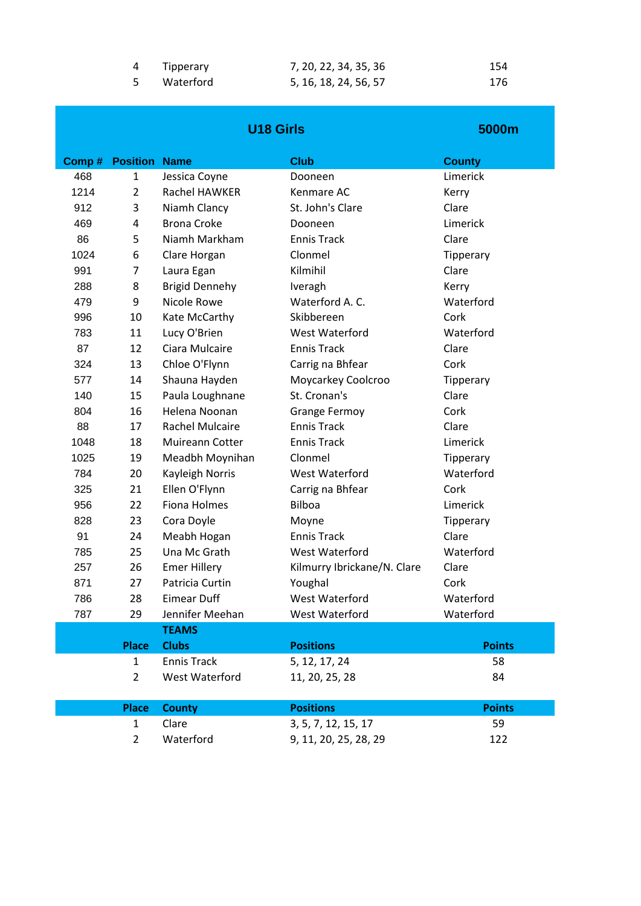| 4 Tipperary | 7, 20, 22, 34, 35, 36 | 154 |
|-------------|-----------------------|-----|
| Waterford   | 5, 16, 18, 24, 56, 57 | 176 |

|       |                 | <b>U18 Girls</b>       |                             | 5000m         |
|-------|-----------------|------------------------|-----------------------------|---------------|
| Comp# | <b>Position</b> | <b>Name</b>            | <b>Club</b>                 | <b>County</b> |
| 468   | $\mathbf{1}$    | Jessica Coyne          | Dooneen                     | Limerick      |
| 1214  | $\overline{2}$  | <b>Rachel HAWKER</b>   | Kenmare AC                  | Kerry         |
| 912   | 3               | Niamh Clancy           | St. John's Clare            | Clare         |
| 469   | 4               | <b>Brona Croke</b>     | Dooneen                     | Limerick      |
| 86    | 5               | Niamh Markham          | <b>Ennis Track</b>          | Clare         |
| 1024  | 6               | Clare Horgan           | Clonmel                     | Tipperary     |
| 991   | 7               | Laura Egan             | Kilmihil                    | Clare         |
| 288   | 8               | <b>Brigid Dennehy</b>  | Iveragh                     | Kerry         |
| 479   | 9               | Nicole Rowe            | Waterford A. C.             | Waterford     |
| 996   | 10              | Kate McCarthy          | Skibbereen                  | Cork          |
| 783   | 11              | Lucy O'Brien           | <b>West Waterford</b>       | Waterford     |
| 87    | 12              | Ciara Mulcaire         | <b>Ennis Track</b>          | Clare         |
| 324   | 13              | Chloe O'Flynn          | Carrig na Bhfear            | Cork          |
| 577   | 14              | Shauna Hayden          | Moycarkey Coolcroo          | Tipperary     |
| 140   | 15              | Paula Loughnane        | St. Cronan's                | Clare         |
| 804   | 16              | Helena Noonan          | <b>Grange Fermoy</b>        | Cork          |
| 88    | 17              | <b>Rachel Mulcaire</b> | <b>Ennis Track</b>          | Clare         |
| 1048  | 18              | <b>Muireann Cotter</b> | <b>Ennis Track</b>          | Limerick      |
| 1025  | 19              | Meadbh Moynihan        | Clonmel                     | Tipperary     |
| 784   | 20              | Kayleigh Norris        | <b>West Waterford</b>       | Waterford     |
| 325   | 21              | Ellen O'Flynn          | Carrig na Bhfear            | Cork          |
| 956   | 22              | <b>Fiona Holmes</b>    | <b>Bilboa</b>               | Limerick      |
| 828   | 23              | Cora Doyle             | Moyne                       | Tipperary     |
| 91    | 24              | Meabh Hogan            | <b>Ennis Track</b>          | Clare         |
| 785   | 25              | Una Mc Grath           | West Waterford              | Waterford     |
| 257   | 26              | <b>Emer Hillery</b>    | Kilmurry Ibrickane/N. Clare | Clare         |
| 871   | 27              | Patricia Curtin        | Youghal                     | Cork          |
| 786   | 28              | <b>Eimear Duff</b>     | West Waterford              | Waterford     |
| 787   | 29              | Jennifer Meehan        | West Waterford              | Waterford     |
|       |                 | <b>TEAMS</b>           |                             |               |
|       | <b>Place</b>    | <b>Clubs</b>           | <b>Positions</b>            | <b>Points</b> |
|       | $\mathbf{1}$    | <b>Ennis Track</b>     | 5, 12, 17, 24               | 58            |
|       | $\overline{2}$  | West Waterford         | 11, 20, 25, 28              | 84            |
|       | <b>Place</b>    | <b>County</b>          | <b>Positions</b>            | <b>Points</b> |
|       | $\mathbf{1}$    | Clare                  | 3, 5, 7, 12, 15, 17         | 59            |
|       | $\overline{2}$  | Waterford              | 9, 11, 20, 25, 28, 29       | 122           |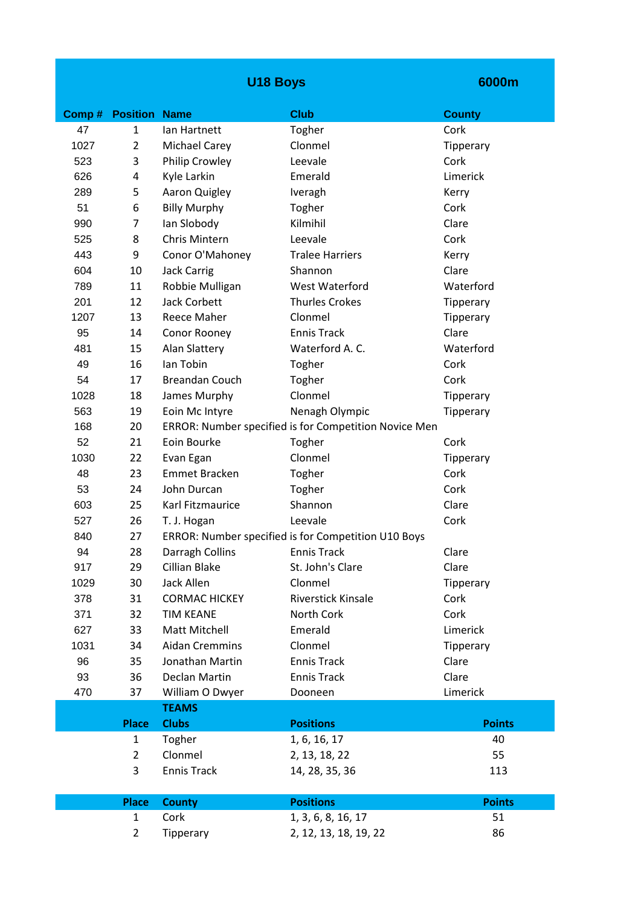|       |                 | <b>U18 Boys</b>       |                                                       | 6000m         |
|-------|-----------------|-----------------------|-------------------------------------------------------|---------------|
| Comp# | <b>Position</b> | <b>Name</b>           | <b>Club</b>                                           | <b>County</b> |
| 47    | $\mathbf{1}$    | lan Hartnett          | Togher                                                | Cork          |
| 1027  | 2               | <b>Michael Carey</b>  | Clonmel                                               | Tipperary     |
| 523   | 3               | Philip Crowley        | Leevale                                               | Cork          |
| 626   | 4               | Kyle Larkin           | Emerald                                               | Limerick      |
| 289   | 5               | Aaron Quigley         | Iveragh                                               | Kerry         |
| 51    | 6               | <b>Billy Murphy</b>   | Togher                                                | Cork          |
| 990   | 7               | lan Slobody           | Kilmihil                                              | Clare         |
| 525   | 8               | Chris Mintern         | Leevale                                               | Cork          |
| 443   | 9               | Conor O'Mahoney       | <b>Tralee Harriers</b>                                | Kerry         |
| 604   | 10              | <b>Jack Carrig</b>    | Shannon                                               | Clare         |
| 789   | 11              | Robbie Mulligan       | <b>West Waterford</b>                                 | Waterford     |
| 201   | 12              | <b>Jack Corbett</b>   | <b>Thurles Crokes</b>                                 | Tipperary     |
| 1207  | 13              | Reece Maher           | Clonmel                                               | Tipperary     |
| 95    | 14              | Conor Rooney          | <b>Ennis Track</b>                                    | Clare         |
| 481   | 15              | <b>Alan Slattery</b>  | Waterford A. C.                                       | Waterford     |
| 49    | 16              | lan Tobin             | Togher                                                | Cork          |
| 54    | 17              | <b>Breandan Couch</b> | Togher                                                | Cork          |
| 1028  | 18              | James Murphy          | Clonmel                                               | Tipperary     |
| 563   | 19              | Eoin Mc Intyre        | Nenagh Olympic                                        | Tipperary     |
| 168   | 20              |                       | ERROR: Number specified is for Competition Novice Men |               |
| 52    | 21              | Eoin Bourke           | Togher                                                | Cork          |
| 1030  | 22              | Evan Egan             | Clonmel                                               | Tipperary     |
| 48    | 23              | <b>Emmet Bracken</b>  | Togher                                                | Cork          |
| 53    | 24              | John Durcan           | Togher                                                | Cork          |
| 603   | 25              | Karl Fitzmaurice      | Shannon                                               | Clare         |
| 527   | 26              | T. J. Hogan           | Leevale                                               | Cork          |
| 840   | 27              |                       | ERROR: Number specified is for Competition U10 Boys   |               |
| 94    | 28              | Darragh Collins       | <b>Ennis Track</b>                                    | Clare         |
| 917   | 29              | Cillian Blake         | St. John's Clare                                      | Clare         |
| 1029  | 30              | Jack Allen            | Clonmel                                               | Tipperary     |
| 378   | 31              | <b>CORMAC HICKEY</b>  | Riverstick Kinsale                                    | Cork          |
| 371   | 32              | <b>TIM KEANE</b>      | North Cork                                            | Cork          |
| 627   | 33              | Matt Mitchell         | Emerald                                               | Limerick      |
| 1031  | 34              | <b>Aidan Cremmins</b> | Clonmel                                               | Tipperary     |
| 96    | 35              | Jonathan Martin       | <b>Ennis Track</b>                                    | Clare         |
| 93    | 36              | Declan Martin         | <b>Ennis Track</b>                                    | Clare         |
| 470   | 37              | William O Dwyer       | Dooneen                                               | Limerick      |
|       |                 | <b>TEAMS</b>          |                                                       |               |
|       | <b>Place</b>    | <b>Clubs</b>          | <b>Positions</b>                                      | <b>Points</b> |
|       | 1               | Togher                | 1, 6, 16, 17                                          | 40            |
|       | $\overline{2}$  | Clonmel               | 2, 13, 18, 22                                         | 55            |
|       | 3               | <b>Ennis Track</b>    | 14, 28, 35, 36                                        | 113           |
|       | <b>Place</b>    | <b>County</b>         | <b>Positions</b>                                      | <b>Points</b> |
|       | $\mathbf{1}$    | Cork                  | 1, 3, 6, 8, 16, 17                                    | 51            |
|       | $\overline{2}$  | Tipperary             | 2, 12, 13, 18, 19, 22                                 | 86            |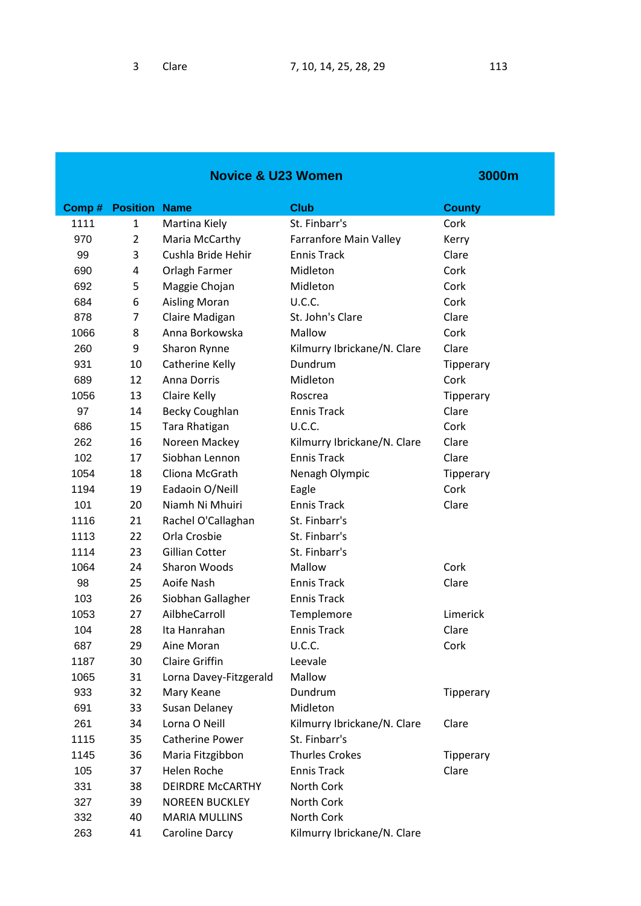| <b>Novice &amp; U23 Women</b> |                      |                         | 3000m                       |               |
|-------------------------------|----------------------|-------------------------|-----------------------------|---------------|
| Comp#                         | <b>Position Name</b> |                         | <b>Club</b>                 | <b>County</b> |
| 1111                          | $\mathbf{1}$         | Martina Kiely           | St. Finbarr's               | Cork          |
| 970                           | $\overline{2}$       | Maria McCarthy          | Farranfore Main Valley      | Kerry         |
| 99                            | 3                    | Cushla Bride Hehir      | <b>Ennis Track</b>          | Clare         |
| 690                           | 4                    | Orlagh Farmer           | Midleton                    | Cork          |
| 692                           | 5                    | Maggie Chojan           | Midleton                    | Cork          |
| 684                           | 6                    | <b>Aisling Moran</b>    | U.C.C.                      | Cork          |
| 878                           | 7                    | Claire Madigan          | St. John's Clare            | Clare         |
| 1066                          | 8                    | Anna Borkowska          | Mallow                      | Cork          |
| 260                           | 9                    | Sharon Rynne            | Kilmurry Ibrickane/N. Clare | Clare         |
| 931                           | 10                   | Catherine Kelly         | Dundrum                     | Tipperary     |
| 689                           | 12                   | <b>Anna Dorris</b>      | Midleton                    | Cork          |
| 1056                          | 13                   | Claire Kelly            | Roscrea                     | Tipperary     |
| 97                            | 14                   | <b>Becky Coughlan</b>   | <b>Ennis Track</b>          | Clare         |
| 686                           | 15                   | Tara Rhatigan           | U.C.C.                      | Cork          |
| 262                           | 16                   | Noreen Mackey           | Kilmurry Ibrickane/N. Clare | Clare         |
| 102                           | 17                   | Siobhan Lennon          | <b>Ennis Track</b>          | Clare         |
| 1054                          | 18                   | Cliona McGrath          | Nenagh Olympic              | Tipperary     |
| 1194                          | 19                   | Eadaoin O/Neill         | Eagle                       | Cork          |
| 101                           | 20                   | Niamh Ni Mhuiri         | <b>Ennis Track</b>          | Clare         |
| 1116                          | 21                   | Rachel O'Callaghan      | St. Finbarr's               |               |
| 1113                          | 22                   | Orla Crosbie            | St. Finbarr's               |               |
| 1114                          | 23                   | <b>Gillian Cotter</b>   | St. Finbarr's               |               |
| 1064                          | 24                   | <b>Sharon Woods</b>     | Mallow                      | Cork          |
| 98                            | 25                   | Aoife Nash              | <b>Ennis Track</b>          | Clare         |
| 103                           | 26                   | Siobhan Gallagher       | <b>Ennis Track</b>          |               |
| 1053                          | 27                   | AilbheCarroll           | Templemore                  | Limerick      |
| 104                           | 28                   | Ita Hanrahan            | <b>Ennis Track</b>          | Clare         |
| 687                           | 29                   | Aine Moran              | U.C.C.                      | Cork          |
| 1187                          | 30                   | <b>Claire Griffin</b>   | Leevale                     |               |
| 1065                          | 31                   | Lorna Davey-Fitzgerald  | Mallow                      |               |
| 933                           | 32                   | Mary Keane              | Dundrum                     | Tipperary     |
| 691                           | 33                   | Susan Delaney           | Midleton                    |               |
| 261                           | 34                   | Lorna O Neill           | Kilmurry Ibrickane/N. Clare | Clare         |
| 1115                          | 35                   | <b>Catherine Power</b>  | St. Finbarr's               |               |
| 1145                          | 36                   | Maria Fitzgibbon        | <b>Thurles Crokes</b>       | Tipperary     |
| 105                           | 37                   | <b>Helen Roche</b>      | <b>Ennis Track</b>          | Clare         |
| 331                           | 38                   | <b>DEIRDRE McCARTHY</b> | North Cork                  |               |
| 327                           | 39                   | <b>NOREEN BUCKLEY</b>   | North Cork                  |               |
| 332                           | 40                   | <b>MARIA MULLINS</b>    | North Cork                  |               |
| 263                           | 41                   | Caroline Darcy          | Kilmurry Ibrickane/N. Clare |               |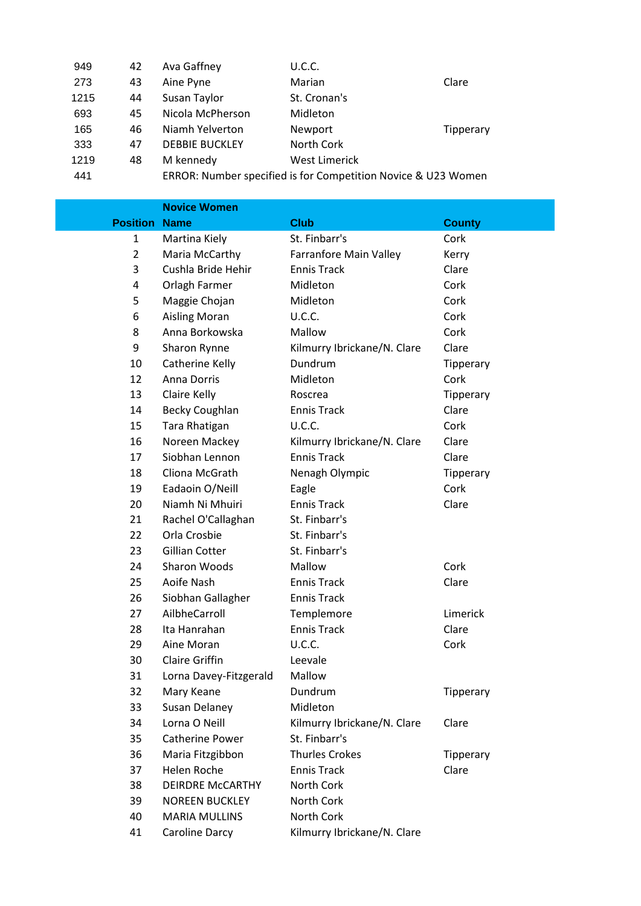| 949  | 42 | Ava Gaffney           | <b>U.C.C.</b>                                                 |           |
|------|----|-----------------------|---------------------------------------------------------------|-----------|
| 273  | 43 | Aine Pyne             | Marian                                                        | Clare     |
| 1215 | 44 | Susan Taylor          | St. Cronan's                                                  |           |
| 693  | 45 | Nicola McPherson      | Midleton                                                      |           |
| 165  | 46 | Niamh Yelverton       | Newport                                                       | Tipperary |
| 333  | 47 | <b>DEBBIE BUCKLEY</b> | North Cork                                                    |           |
| 1219 | 48 | M kennedy             | <b>West Limerick</b>                                          |           |
| 441  |    |                       | ERROR: Number specified is for Competition Novice & U23 Women |           |
|      |    |                       |                                                               |           |

|                 | <b>Novice Women</b>     |                               |               |
|-----------------|-------------------------|-------------------------------|---------------|
| <b>Position</b> | <b>Name</b>             | <b>Club</b>                   | <b>County</b> |
| 1               | Martina Kiely           | St. Finbarr's                 | Cork          |
| 2               | Maria McCarthy          | <b>Farranfore Main Valley</b> | Kerry         |
| 3               | Cushla Bride Hehir      | <b>Ennis Track</b>            | Clare         |
| 4               | Orlagh Farmer           | Midleton                      | Cork          |
| 5               | Maggie Chojan           | Midleton                      | Cork          |
| 6               | <b>Aisling Moran</b>    | U.C.C.                        | Cork          |
| 8               | Anna Borkowska          | Mallow                        | Cork          |
| 9               | Sharon Rynne            | Kilmurry Ibrickane/N. Clare   | Clare         |
| 10              | Catherine Kelly         | Dundrum                       | Tipperary     |
| 12              | <b>Anna Dorris</b>      | Midleton                      | Cork          |
| 13              | Claire Kelly            | Roscrea                       | Tipperary     |
| 14              | <b>Becky Coughlan</b>   | <b>Ennis Track</b>            | Clare         |
| 15              | Tara Rhatigan           | U.C.C.                        | Cork          |
| 16              | Noreen Mackey           | Kilmurry Ibrickane/N. Clare   | Clare         |
| 17              | Siobhan Lennon          | <b>Ennis Track</b>            | Clare         |
| 18              | Cliona McGrath          | Nenagh Olympic                | Tipperary     |
| 19              | Eadaoin O/Neill         | Eagle                         | Cork          |
| 20              | Niamh Ni Mhuiri         | <b>Ennis Track</b>            | Clare         |
| 21              | Rachel O'Callaghan      | St. Finbarr's                 |               |
| 22              | Orla Crosbie            | St. Finbarr's                 |               |
| 23              | <b>Gillian Cotter</b>   | St. Finbarr's                 |               |
| 24              | Sharon Woods            | Mallow                        | Cork          |
| 25              | Aoife Nash              | <b>Ennis Track</b>            | Clare         |
| 26              | Siobhan Gallagher       | <b>Ennis Track</b>            |               |
| 27              | AilbheCarroll           | Templemore                    | Limerick      |
| 28              | Ita Hanrahan            | <b>Ennis Track</b>            | Clare         |
| 29              | Aine Moran              | U.C.C.                        | Cork          |
| 30              | <b>Claire Griffin</b>   | Leevale                       |               |
| 31              | Lorna Davey-Fitzgerald  | Mallow                        |               |
| 32              | Mary Keane              | Dundrum                       | Tipperary     |
| 33              | Susan Delaney           | Midleton                      |               |
| 34              | Lorna O Neill           | Kilmurry Ibrickane/N. Clare   | Clare         |
| 35              | <b>Catherine Power</b>  | St. Finbarr's                 |               |
| 36              | Maria Fitzgibbon        | <b>Thurles Crokes</b>         | Tipperary     |
| 37              | <b>Helen Roche</b>      | <b>Ennis Track</b>            | Clare         |
| 38              | <b>DEIRDRE McCARTHY</b> | North Cork                    |               |
| 39              | <b>NOREEN BUCKLEY</b>   | North Cork                    |               |
| 40              | <b>MARIA MULLINS</b>    | North Cork                    |               |
| 41              | Caroline Darcy          | Kilmurry Ibrickane/N. Clare   |               |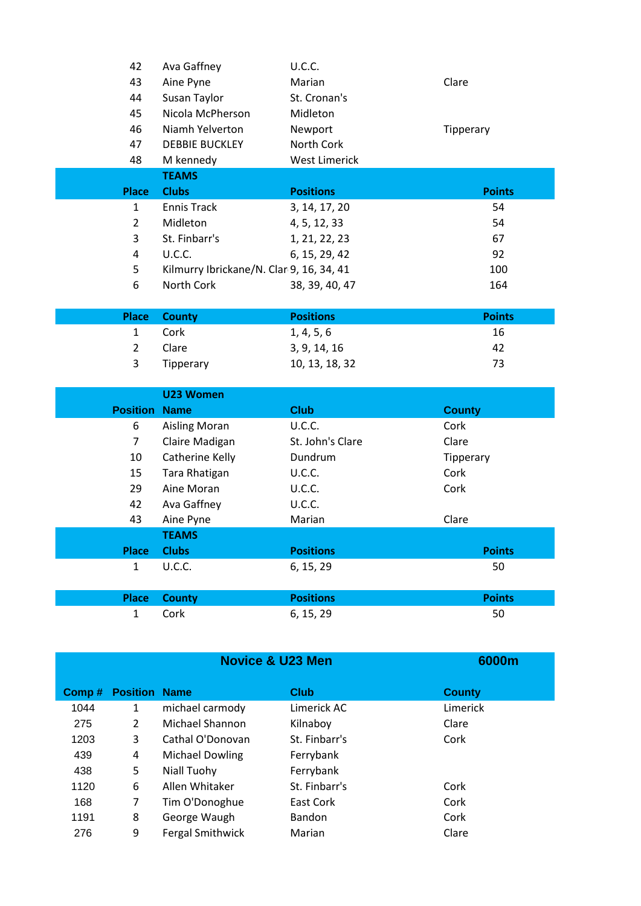| 42                   | Ava Gaffney                              | U.C.C.               |               |
|----------------------|------------------------------------------|----------------------|---------------|
| 43                   | Aine Pyne                                | Marian               | Clare         |
| 44                   | Susan Taylor                             | St. Cronan's         |               |
| 45                   | Nicola McPherson                         | Midleton             |               |
| 46                   | Niamh Yelverton                          | Newport              | Tipperary     |
| 47                   | <b>DEBBIE BUCKLEY</b>                    | North Cork           |               |
| 48                   | M kennedy                                | <b>West Limerick</b> |               |
|                      | <b>TEAMS</b>                             |                      |               |
| <b>Place</b>         | <b>Clubs</b>                             | <b>Positions</b>     | <b>Points</b> |
| $\mathbf{1}$         | <b>Ennis Track</b>                       | 3, 14, 17, 20        | 54            |
| $\overline{2}$       | Midleton                                 | 4, 5, 12, 33         | 54            |
| 3                    | St. Finbarr's                            | 1, 21, 22, 23        | 67            |
| 4                    | U.C.C.                                   | 6, 15, 29, 42        | 92            |
| 5                    | Kilmurry Ibrickane/N. Clar 9, 16, 34, 41 |                      | 100           |
| 6                    | North Cork                               | 38, 39, 40, 47       | 164           |
|                      |                                          |                      |               |
| <b>Place</b>         | <b>County</b>                            | <b>Positions</b>     | <b>Points</b> |
| $\mathbf{1}$         | Cork                                     | 1, 4, 5, 6           | 16            |
| $\overline{2}$       | Clare                                    | 3, 9, 14, 16         | 42            |
| 3                    | Tipperary                                | 10, 13, 18, 32       | 73            |
|                      |                                          |                      |               |
|                      | U23 Women                                |                      |               |
| <b>Position Name</b> |                                          | <b>Club</b>          | <b>County</b> |
| 6                    | <b>Aisling Moran</b>                     | U.C.C.               | Cork          |
| $\overline{7}$       | Claire Madigan                           | St. John's Clare     | Clare         |
| 10                   | Catherine Kelly                          | Dundrum              | Tipperary     |
| 15                   | Tara Rhatigan                            | U.C.C.               | Cork          |
| 29                   | Aine Moran                               | U.C.C.               | Cork          |
| 42                   | Ava Gaffney                              | U.C.C.               |               |
| 43                   | Aine Pyne                                | Marian               | Clare         |
|                      | <b>TEAMS</b>                             |                      |               |
| <b>Place</b>         | <b>Clubs</b>                             | <b>Positions</b>     | <b>Points</b> |
| $\mathbf{1}$         | U.C.C.                                   | 6, 15, 29            | 50            |
| <b>Place</b>         | <b>County</b>                            | <b>Positions</b>     | <b>Points</b> |
| $\mathbf{1}$         | Cork                                     | 6, 15, 29            | 50            |
|                      |                                          |                      |               |

|       | <b>Novice &amp; U23 Men</b> |                         |               | 6000m         |
|-------|-----------------------------|-------------------------|---------------|---------------|
| Comp# | <b>Position</b>             | <b>Name</b>             | <b>Club</b>   | <b>County</b> |
| 1044  | 1                           | michael carmody         | Limerick AC   | Limerick      |
| 275   | $\overline{2}$              | Michael Shannon         | Kilnaboy      | Clare         |
| 1203  | 3                           | Cathal O'Donovan        | St. Finbarr's | Cork          |
| 439   | 4                           | <b>Michael Dowling</b>  | Ferrybank     |               |
| 438   | 5                           | Niall Tuohy             | Ferrybank     |               |
| 1120  | 6                           | Allen Whitaker          | St. Finbarr's | Cork          |
| 168   | 7                           | Tim O'Donoghue          | East Cork     | Cork          |
| 1191  | 8                           | George Waugh            | <b>Bandon</b> | Cork          |
| 276   | 9                           | <b>Fergal Smithwick</b> | Marian        | Clare         |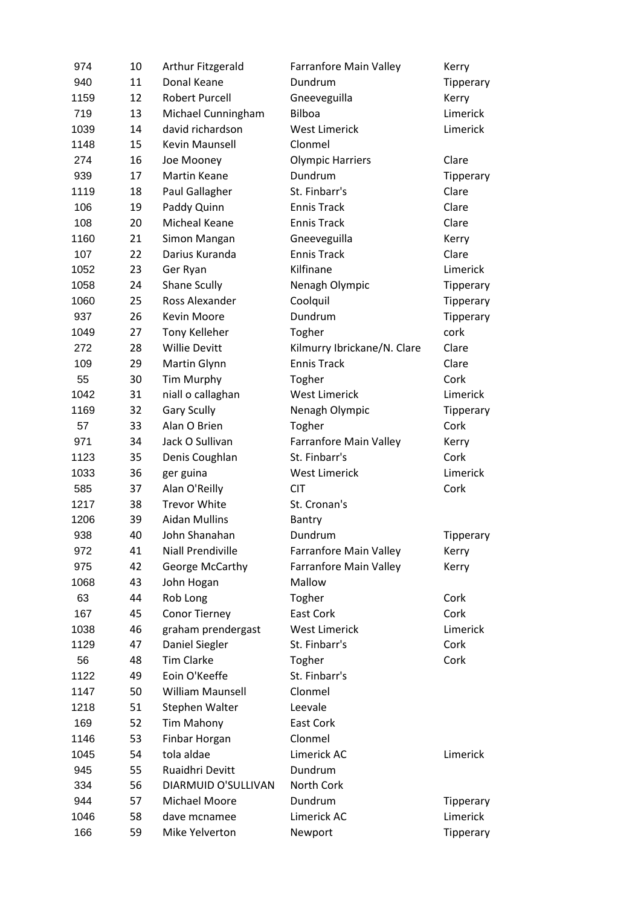| 974  | 10 | Arthur Fitzgerald        | <b>Farranfore Main Valley</b> | Kerry     |
|------|----|--------------------------|-------------------------------|-----------|
| 940  | 11 | Donal Keane              | Dundrum                       | Tipperary |
| 1159 | 12 | <b>Robert Purcell</b>    | Gneeveguilla                  | Kerry     |
| 719  | 13 | Michael Cunningham       | <b>Bilboa</b>                 | Limerick  |
| 1039 | 14 | david richardson         | <b>West Limerick</b>          | Limerick  |
| 1148 | 15 | Kevin Maunsell           | Clonmel                       |           |
| 274  | 16 | Joe Mooney               | <b>Olympic Harriers</b>       | Clare     |
| 939  | 17 | <b>Martin Keane</b>      | <b>Dundrum</b>                | Tipperary |
| 1119 | 18 | Paul Gallagher           | St. Finbarr's                 | Clare     |
| 106  | 19 | Paddy Quinn              | <b>Ennis Track</b>            | Clare     |
| 108  | 20 | <b>Micheal Keane</b>     | <b>Ennis Track</b>            | Clare     |
| 1160 | 21 | Simon Mangan             | Gneeveguilla                  | Kerry     |
| 107  | 22 | Darius Kuranda           | <b>Ennis Track</b>            | Clare     |
| 1052 | 23 | Ger Ryan                 | Kilfinane                     | Limerick  |
| 1058 | 24 | Shane Scully             | Nenagh Olympic                | Tipperary |
| 1060 | 25 | Ross Alexander           | Coolquil                      | Tipperary |
| 937  | 26 | <b>Kevin Moore</b>       | Dundrum                       | Tipperary |
| 1049 | 27 | Tony Kelleher            | Togher                        | cork      |
| 272  | 28 | <b>Willie Devitt</b>     | Kilmurry Ibrickane/N. Clare   | Clare     |
| 109  | 29 | Martin Glynn             | <b>Ennis Track</b>            | Clare     |
| 55   | 30 | Tim Murphy               | Togher                        | Cork      |
| 1042 | 31 | niall o callaghan        | <b>West Limerick</b>          | Limerick  |
| 1169 | 32 | <b>Gary Scully</b>       | Nenagh Olympic                | Tipperary |
| 57   | 33 | Alan O Brien             | Togher                        | Cork      |
| 971  | 34 | Jack O Sullivan          | Farranfore Main Valley        | Kerry     |
| 1123 | 35 | Denis Coughlan           | St. Finbarr's                 | Cork      |
| 1033 | 36 | ger guina                | <b>West Limerick</b>          | Limerick  |
| 585  | 37 | Alan O'Reilly            | <b>CIT</b>                    | Cork      |
| 1217 | 38 | <b>Trevor White</b>      | St. Cronan's                  |           |
| 1206 | 39 | <b>Aidan Mullins</b>     | Bantry                        |           |
| 938  | 40 | John Shanahan            | Dundrum                       | Tipperary |
| 972  | 41 | <b>Niall Prendiville</b> | <b>Farranfore Main Valley</b> | Kerry     |
| 975  | 42 | George McCarthy          | Farranfore Main Valley        | Kerry     |
| 1068 | 43 | John Hogan               | Mallow                        |           |
| 63   | 44 | Rob Long                 | Togher                        | Cork      |
| 167  | 45 | <b>Conor Tierney</b>     | East Cork                     | Cork      |
| 1038 | 46 | graham prendergast       | <b>West Limerick</b>          | Limerick  |
| 1129 | 47 | Daniel Siegler           | St. Finbarr's                 | Cork      |
| 56   | 48 | <b>Tim Clarke</b>        | Togher                        | Cork      |
| 1122 | 49 | Eoin O'Keeffe            | St. Finbarr's                 |           |
| 1147 | 50 | <b>William Maunsell</b>  | Clonmel                       |           |
| 1218 | 51 | Stephen Walter           | Leevale                       |           |
| 169  | 52 | Tim Mahony               | East Cork                     |           |
| 1146 | 53 | Finbar Horgan            | Clonmel                       |           |
| 1045 | 54 | tola aldae               | Limerick AC                   | Limerick  |
| 945  | 55 | Ruaidhri Devitt          | Dundrum                       |           |
| 334  | 56 | DIARMUID O'SULLIVAN      | North Cork                    |           |
| 944  | 57 | Michael Moore            | Dundrum                       | Tipperary |
| 1046 | 58 | dave mcnamee             | Limerick AC                   | Limerick  |
| 166  | 59 | Mike Yelverton           | Newport                       | Tipperary |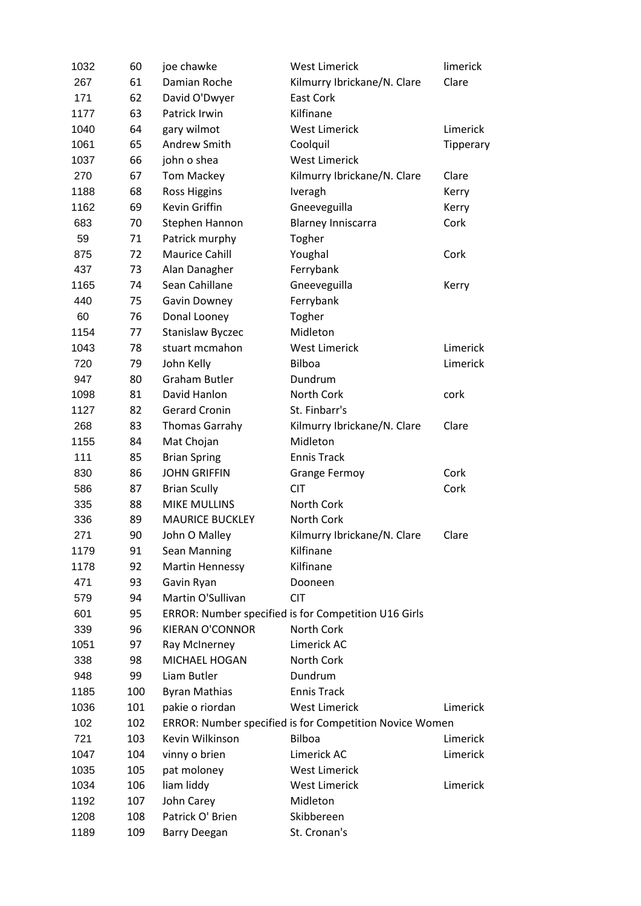| 1032 | 60  | joe chawke             | <b>West Limerick</b>                                    | limerick  |
|------|-----|------------------------|---------------------------------------------------------|-----------|
| 267  | 61  | Damian Roche           | Kilmurry Ibrickane/N. Clare                             | Clare     |
| 171  | 62  | David O'Dwyer          | East Cork                                               |           |
| 1177 | 63  | Patrick Irwin          | Kilfinane                                               |           |
| 1040 | 64  | gary wilmot            | <b>West Limerick</b>                                    | Limerick  |
| 1061 | 65  | Andrew Smith           | Coolquil                                                | Tipperary |
| 1037 | 66  | john o shea            | <b>West Limerick</b>                                    |           |
| 270  | 67  | Tom Mackey             | Kilmurry Ibrickane/N. Clare                             | Clare     |
| 1188 | 68  | <b>Ross Higgins</b>    | Iveragh                                                 | Kerry     |
| 1162 | 69  | Kevin Griffin          | Gneeveguilla                                            | Kerry     |
| 683  | 70  | Stephen Hannon         | <b>Blarney Inniscarra</b>                               | Cork      |
| 59   | 71  | Patrick murphy         | Togher                                                  |           |
| 875  | 72  | <b>Maurice Cahill</b>  | Youghal                                                 | Cork      |
| 437  | 73  | Alan Danagher          | Ferrybank                                               |           |
| 1165 | 74  | Sean Cahillane         | Gneeveguilla                                            | Kerry     |
| 440  | 75  | Gavin Downey           | Ferrybank                                               |           |
| 60   | 76  | Donal Looney           | Togher                                                  |           |
| 1154 | 77  | Stanislaw Byczec       | Midleton                                                |           |
| 1043 | 78  | stuart mcmahon         | <b>West Limerick</b>                                    | Limerick  |
| 720  | 79  | John Kelly             | <b>Bilboa</b>                                           | Limerick  |
| 947  | 80  | <b>Graham Butler</b>   | Dundrum                                                 |           |
| 1098 | 81  | David Hanlon           | North Cork                                              | cork      |
| 1127 | 82  | <b>Gerard Cronin</b>   | St. Finbarr's                                           |           |
| 268  | 83  | <b>Thomas Garrahy</b>  | Kilmurry Ibrickane/N. Clare                             | Clare     |
| 1155 | 84  | Mat Chojan             | Midleton                                                |           |
| 111  | 85  | <b>Brian Spring</b>    | <b>Ennis Track</b>                                      |           |
| 830  | 86  | <b>JOHN GRIFFIN</b>    | <b>Grange Fermoy</b>                                    | Cork      |
| 586  | 87  | <b>Brian Scully</b>    | <b>CIT</b>                                              | Cork      |
| 335  | 88  | <b>MIKE MULLINS</b>    | North Cork                                              |           |
| 336  | 89  | <b>MAURICE BUCKLEY</b> | North Cork                                              |           |
| 271  | 90  | John O Malley          | Kilmurry Ibrickane/N. Clare                             | Clare     |
| 1179 | 91  | Sean Manning           | Kilfinane                                               |           |
| 1178 | 92  | <b>Martin Hennessy</b> | Kilfinane                                               |           |
| 471  | 93  | Gavin Ryan             | Dooneen                                                 |           |
| 579  | 94  | Martin O'Sullivan      | <b>CIT</b>                                              |           |
| 601  | 95  |                        | ERROR: Number specified is for Competition U16 Girls    |           |
| 339  | 96  | <b>KIERAN O'CONNOR</b> | North Cork                                              |           |
| 1051 | 97  | Ray McInerney          | Limerick AC                                             |           |
| 338  | 98  | MICHAEL HOGAN          | North Cork                                              |           |
| 948  | 99  | Liam Butler            | Dundrum                                                 |           |
| 1185 | 100 | <b>Byran Mathias</b>   | <b>Ennis Track</b>                                      |           |
| 1036 | 101 | pakie o riordan        | <b>West Limerick</b>                                    | Limerick  |
| 102  | 102 |                        | ERROR: Number specified is for Competition Novice Women |           |
| 721  | 103 | Kevin Wilkinson        | Bilboa                                                  | Limerick  |
| 1047 | 104 | vinny o brien          | Limerick AC                                             | Limerick  |
| 1035 | 105 | pat moloney            | <b>West Limerick</b>                                    |           |
| 1034 | 106 | liam liddy             | <b>West Limerick</b>                                    | Limerick  |
| 1192 | 107 | John Carey             | Midleton                                                |           |
| 1208 | 108 | Patrick O' Brien       | Skibbereen                                              |           |
| 1189 | 109 | <b>Barry Deegan</b>    | St. Cronan's                                            |           |
|      |     |                        |                                                         |           |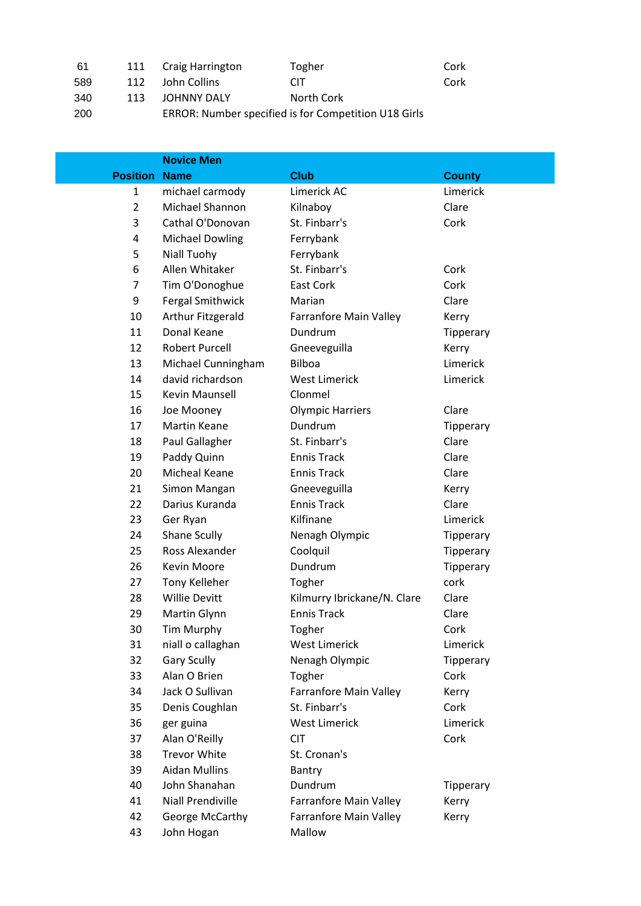| 61  |      | 111 Craig Harrington | Togher                                               | Cork |
|-----|------|----------------------|------------------------------------------------------|------|
| 589 | 112  | John Collins         | CIT                                                  | Cork |
| 340 | 113. | JOHNNY DALY          | North Cork                                           |      |
| 200 |      |                      | ERROR: Number specified is for Competition U18 Girls |      |
|     |      |                      |                                                      |      |

|                 | <b>Novice Men</b>        |                             |               |
|-----------------|--------------------------|-----------------------------|---------------|
| <b>Position</b> | <b>Name</b>              | <b>Club</b>                 | <b>County</b> |
| 1               | michael carmody          | Limerick AC                 | Limerick      |
| $\overline{2}$  | Michael Shannon          | Kilnaboy                    | Clare         |
| 3               | Cathal O'Donovan         | St. Finbarr's               | Cork          |
| 4               | <b>Michael Dowling</b>   | Ferrybank                   |               |
| 5               | Niall Tuohy              | Ferrybank                   |               |
| 6               | Allen Whitaker           | St. Finbarr's               | Cork          |
| $\overline{7}$  | Tim O'Donoghue           | <b>East Cork</b>            | Cork          |
| 9               | <b>Fergal Smithwick</b>  | Marian                      | Clare         |
| 10              | Arthur Fitzgerald        | Farranfore Main Valley      | Kerry         |
| 11              | Donal Keane              | Dundrum                     | Tipperary     |
| 12              | <b>Robert Purcell</b>    | Gneeveguilla                | Kerry         |
| 13              | Michael Cunningham       | <b>Bilboa</b>               | Limerick      |
| 14              | david richardson         | <b>West Limerick</b>        | Limerick      |
| 15              | Kevin Maunsell           | Clonmel                     |               |
| 16              | Joe Mooney               | <b>Olympic Harriers</b>     | Clare         |
| 17              | <b>Martin Keane</b>      | Dundrum                     | Tipperary     |
| 18              | Paul Gallagher           | St. Finbarr's               | Clare         |
| 19              | Paddy Quinn              | <b>Ennis Track</b>          | Clare         |
| 20              | Micheal Keane            | <b>Ennis Track</b>          | Clare         |
| 21              | Simon Mangan             | Gneeveguilla                | Kerry         |
| 22              | Darius Kuranda           | <b>Ennis Track</b>          | Clare         |
| 23              | Ger Ryan                 | Kilfinane                   | Limerick      |
| 24              | Shane Scully             | Nenagh Olympic              | Tipperary     |
| 25              | Ross Alexander           | Coolquil                    | Tipperary     |
| 26              | <b>Kevin Moore</b>       | Dundrum                     | Tipperary     |
| 27              | <b>Tony Kelleher</b>     | Togher                      | cork          |
| 28              | <b>Willie Devitt</b>     | Kilmurry Ibrickane/N. Clare | Clare         |
| 29              | Martin Glynn             | <b>Ennis Track</b>          | Clare         |
| 30              | Tim Murphy               | Togher                      | Cork          |
| 31              | niall o callaghan        | <b>West Limerick</b>        | Limerick      |
| 32              | <b>Gary Scully</b>       | Nenagh Olympic              | Tipperary     |
| 33              | Alan O Brien             | Togher                      | Cork          |
| 34              | Jack O Sullivan          | Farranfore Main Valley      | Kerry         |
| 35              | Denis Coughlan           | St. Finbarr's               | Cork          |
| 36              | ger guina                | <b>West Limerick</b>        | Limerick      |
| 37              | Alan O'Reilly            | <b>CIT</b>                  | Cork          |
| 38              | <b>Trevor White</b>      | St. Cronan's                |               |
| 39              | <b>Aidan Mullins</b>     | Bantry                      |               |
| 40              | John Shanahan            | Dundrum                     | Tipperary     |
| 41              | <b>Niall Prendiville</b> | Farranfore Main Valley      | Kerry         |
| 42              | George McCarthy          | Farranfore Main Valley      | Kerry         |
| 43              | John Hogan               | Mallow                      |               |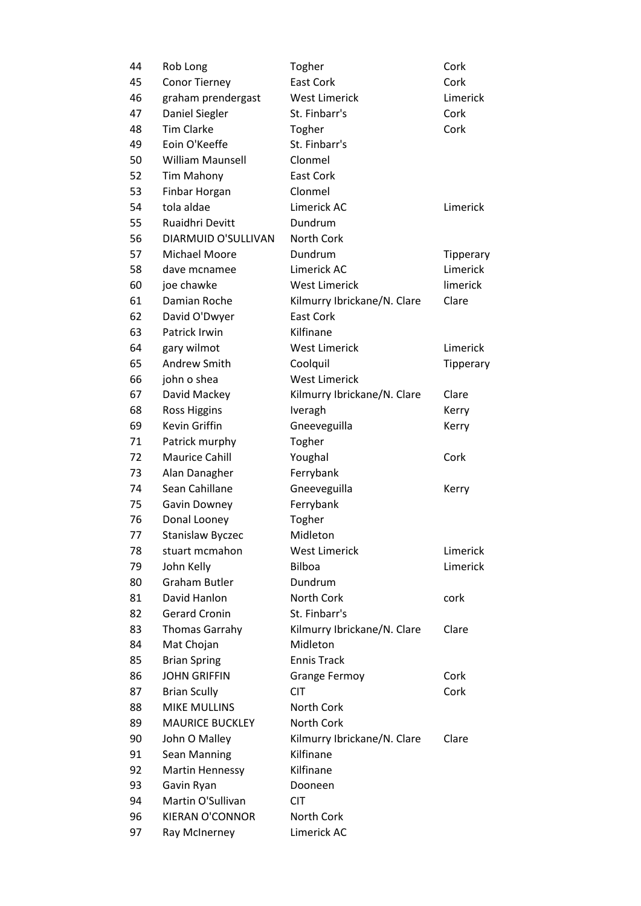| 44 | Rob Long                | Togher                      | Cork             |
|----|-------------------------|-----------------------------|------------------|
| 45 | <b>Conor Tierney</b>    | <b>East Cork</b>            | Cork             |
| 46 | graham prendergast      | <b>West Limerick</b>        | Limerick         |
| 47 | Daniel Siegler          | St. Finbarr's               | Cork             |
| 48 | <b>Tim Clarke</b>       | Togher                      | Cork             |
| 49 | Eoin O'Keeffe           | St. Finbarr's               |                  |
| 50 | <b>William Maunsell</b> | Clonmel                     |                  |
| 52 | Tim Mahony              | <b>East Cork</b>            |                  |
| 53 | Finbar Horgan           | Clonmel                     |                  |
| 54 | tola aldae              | Limerick AC                 | Limerick         |
| 55 | Ruaidhri Devitt         | Dundrum                     |                  |
| 56 | DIARMUID O'SULLIVAN     | North Cork                  |                  |
| 57 | Michael Moore           | Dundrum                     | <b>Tipperary</b> |
| 58 | dave mcnamee            | Limerick AC                 | Limerick         |
| 60 | joe chawke              | <b>West Limerick</b>        | limerick         |
| 61 | Damian Roche            | Kilmurry Ibrickane/N. Clare | Clare            |
| 62 | David O'Dwyer           | <b>East Cork</b>            |                  |
| 63 | Patrick Irwin           | Kilfinane                   |                  |
| 64 | gary wilmot             | <b>West Limerick</b>        | Limerick         |
| 65 | Andrew Smith            | Coolquil                    | Tipperary        |
| 66 | john o shea             | <b>West Limerick</b>        |                  |
| 67 | David Mackey            | Kilmurry Ibrickane/N. Clare | Clare            |
| 68 | <b>Ross Higgins</b>     | Iveragh                     | Kerry            |
| 69 | Kevin Griffin           | Gneeveguilla                | Kerry            |
| 71 | Patrick murphy          | Togher                      |                  |
| 72 | <b>Maurice Cahill</b>   | Youghal                     | Cork             |
| 73 | Alan Danagher           | Ferrybank                   |                  |
| 74 | Sean Cahillane          | Gneeveguilla                | Kerry            |
| 75 | Gavin Downey            | Ferrybank                   |                  |
| 76 | Donal Looney            | Togher                      |                  |
| 77 | Stanislaw Byczec        | Midleton                    |                  |
| 78 | stuart mcmahon          | <b>West Limerick</b>        | Limerick         |
| 79 | John Kelly              | <b>Bilboa</b>               | Limerick         |
| 80 | <b>Graham Butler</b>    | Dundrum                     |                  |
| 81 | David Hanlon            | North Cork                  | cork             |
| 82 | <b>Gerard Cronin</b>    | St. Finbarr's               |                  |
| 83 | <b>Thomas Garrahy</b>   | Kilmurry Ibrickane/N. Clare | Clare            |
| 84 | Mat Chojan              | Midleton                    |                  |
| 85 | <b>Brian Spring</b>     | <b>Ennis Track</b>          |                  |
| 86 | <b>JOHN GRIFFIN</b>     | <b>Grange Fermoy</b>        | Cork             |
| 87 | <b>Brian Scully</b>     | <b>CIT</b>                  | Cork             |
| 88 |                         |                             |                  |
| 89 | <b>MIKE MULLINS</b>     | North Cork                  |                  |
|    | <b>MAURICE BUCKLEY</b>  | North Cork                  |                  |
| 90 | John O Malley           | Kilmurry Ibrickane/N. Clare | Clare            |
| 91 | Sean Manning            | Kilfinane                   |                  |
| 92 | <b>Martin Hennessy</b>  | Kilfinane                   |                  |
| 93 | Gavin Ryan              | Dooneen                     |                  |
| 94 | Martin O'Sullivan       | <b>CIT</b>                  |                  |
| 96 | <b>KIERAN O'CONNOR</b>  | North Cork                  |                  |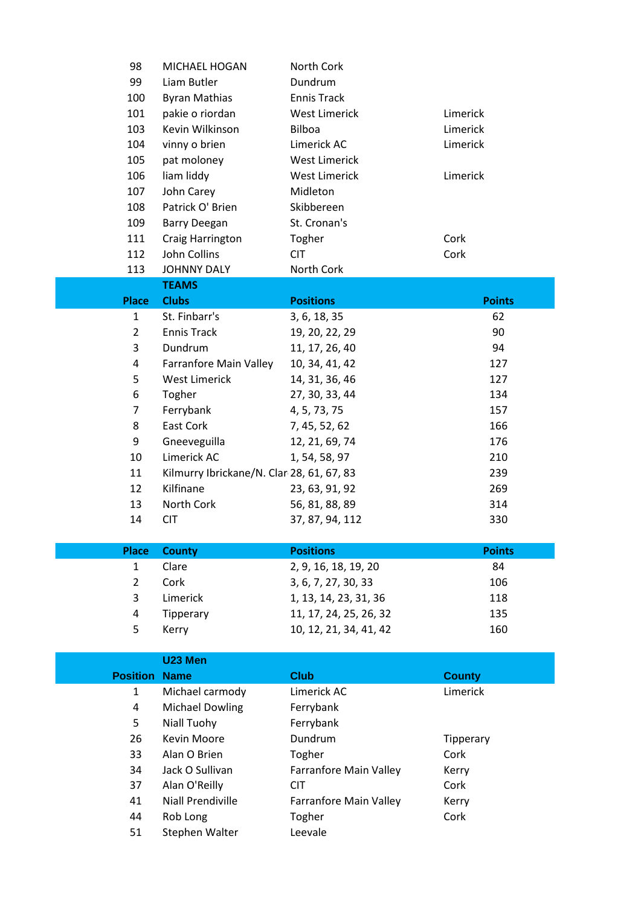| 98              | MICHAEL HOGAN                             | North Cork             |                  |
|-----------------|-------------------------------------------|------------------------|------------------|
| 99              | Liam Butler                               | Dundrum                |                  |
| 100             | <b>Byran Mathias</b>                      | <b>Ennis Track</b>     |                  |
| 101             | pakie o riordan                           | <b>West Limerick</b>   | Limerick         |
| 103             | Kevin Wilkinson                           | Bilboa                 | Limerick         |
| 104             | vinny o brien                             | Limerick AC            | Limerick         |
| 105             | pat moloney                               | <b>West Limerick</b>   |                  |
| 106             | liam liddy                                | <b>West Limerick</b>   | Limerick         |
| 107             | John Carey                                | Midleton               |                  |
| 108             | Patrick O' Brien                          | Skibbereen             |                  |
| 109             | <b>Barry Deegan</b>                       | St. Cronan's           |                  |
| 111             | Craig Harrington                          | Togher                 | Cork             |
| 112             | John Collins                              | <b>CIT</b>             | Cork             |
| 113             | <b>JOHNNY DALY</b>                        | North Cork             |                  |
|                 | <b>TEAMS</b>                              |                        |                  |
| <b>Place</b>    | <b>Clubs</b>                              | <b>Positions</b>       | <b>Points</b>    |
| $\mathbf{1}$    | St. Finbarr's                             | 3, 6, 18, 35           | 62               |
| $\overline{2}$  | <b>Ennis Track</b>                        | 19, 20, 22, 29         | 90               |
| 3               | Dundrum                                   | 11, 17, 26, 40         | 94               |
| 4               | <b>Farranfore Main Valley</b>             | 10, 34, 41, 42         | 127              |
| 5               | <b>West Limerick</b>                      | 14, 31, 36, 46         | 127              |
| 6               | Togher                                    | 27, 30, 33, 44         | 134              |
| $\overline{7}$  | Ferrybank                                 | 4, 5, 73, 75           | 157              |
| 8               | East Cork                                 | 7, 45, 52, 62          | 166              |
| 9               | Gneeveguilla                              | 12, 21, 69, 74         | 176              |
| 10              | Limerick AC                               | 1, 54, 58, 97          | 210              |
| 11              | Kilmurry Ibrickane/N. Clar 28, 61, 67, 83 |                        | 239              |
| 12              | Kilfinane                                 | 23, 63, 91, 92         | 269              |
| 13              | North Cork                                | 56, 81, 88, 89         | 314              |
| 14              | <b>CIT</b>                                | 37, 87, 94, 112        | 330              |
|                 |                                           |                        |                  |
| <b>Place</b>    | <b>County</b>                             | <b>Positions</b>       | <b>Points</b>    |
| 1               | Clare                                     | 2, 9, 16, 18, 19, 20   | 84               |
| $\overline{2}$  | Cork                                      | 3, 6, 7, 27, 30, 33    | 106              |
| 3               | Limerick                                  | 1, 13, 14, 23, 31, 36  | 118              |
| 4               | Tipperary                                 | 11, 17, 24, 25, 26, 32 | 135              |
| 5               | Kerry                                     | 10, 12, 21, 34, 41, 42 | 160              |
|                 |                                           |                        |                  |
|                 | U23 Men                                   |                        |                  |
| <b>Position</b> | <b>Name</b>                               | <b>Club</b>            | <b>County</b>    |
| $\mathbf{1}$    | Michael carmody                           | Limerick AC            | Limerick         |
| $\overline{a}$  | <b>Michael Dowling</b>                    | Ferrybank              |                  |
| 5               | Niall Tuohy                               | Ferrybank              |                  |
| 26              | Kevin Moore                               | Dundrum                | <b>Tipperary</b> |
| 33              | Alan O Brien                              | Togher                 | Cork             |
| 34              | Jack O Sullivan                           | Farranfore Main Valley | Kerry            |
| 37              | Alan O'Reilly                             | <b>CIT</b>             | Cork             |
| 41              | <b>Niall Prendiville</b>                  | Farranfore Main Valley | Kerry            |
| 44              | Rob Long                                  | Togher                 | Cork             |
| 51              | Stephen Walter                            | Leevale                |                  |